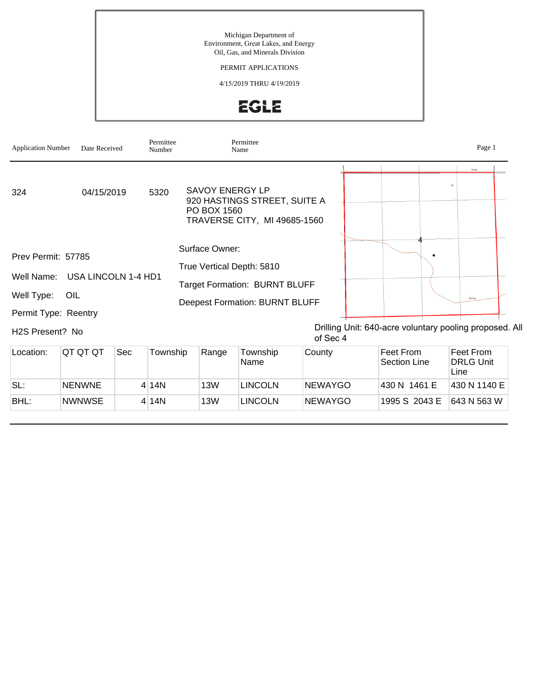#### PERMIT APPLICATIONS

4/15/2019 THRU 4/19/2019





BHL: NWNWSE 4 14N 13W LINCOLN NEWAYGO 1995 S 2043 E 643 N 563 W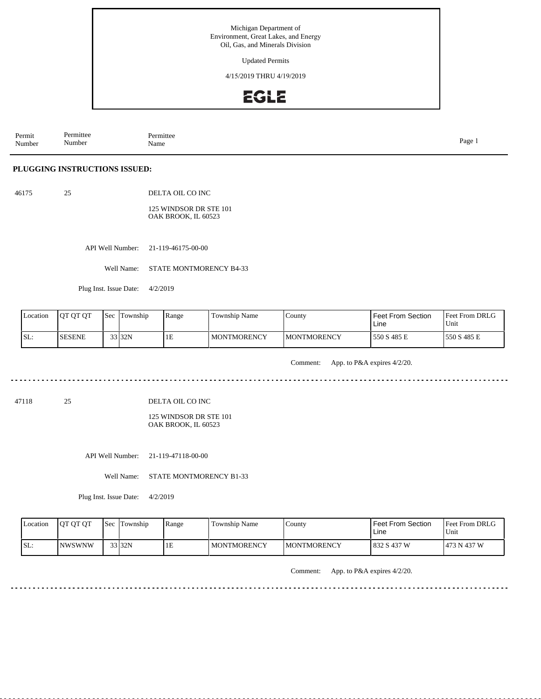Updated Permits

4/15/2019 THRU 4/19/2019

# **EGLE**

Permit Number Permittee Number Permittee<br>Name Name Page 1

#### **PLUGGING INSTRUCTIONS ISSUED:**

46175 25 DELTA OIL CO INC

> 125 WINDSOR DR STE 101 OAK BROOK, IL 60523

API Well Number: 21-119-46175-00-00

Well Name: STATE MONTMORENCY B4-33

Plug Inst. Issue Date: 4/2/2019

| Location | <b>IOT OT OT</b> | <b>Sec</b> | Township | Range | <b>Township Name</b> | County              | Feet From Section<br>Line | Feet From DRLG<br>Unit |
|----------|------------------|------------|----------|-------|----------------------|---------------------|---------------------------|------------------------|
| ISL:     | <b>SESENE</b>    |            | 33 32N   | 1E    | l MONTMORENCY        | <b>IMONTMORENCY</b> | 550 S 485 E               | 1550 S 485 E           |

Comment: App. to P&A expires 4/2/20.

 $\sim$   $\sim$  $\sim$   $\sim$   $\sim$   $\sim$   $\sim$   $\omega = \omega + \omega$ 

 $- - - - - -$ 

 $\sim$   $\sim$   $\sim$   $\sim$ 

47118 25 DELTA OIL CO INC

> 125 WINDSOR DR STE 101 OAK BROOK, IL 60523

API Well Number: 21-119-47118-00-00

Well Name: STATE MONTMORENCY B1-33

Plug Inst. Issue Date: 4/2/2019

| Location | <b>OT OT OT</b> | <b>Sec</b> | l'I'ownship | Range | Township Name      | $\mathop{\text{Ca}$ | <b>Feet From Section</b><br>Line | <b>Feet From DRLG</b><br>'Unit |
|----------|-----------------|------------|-------------|-------|--------------------|---------------------|----------------------------------|--------------------------------|
| SL:      | INWSWNW         |            | 33 32N      | 1E    | <b>MONTMORENCY</b> | <b>IMONTMORENCY</b> | 832 S 437 W                      | 1473 N 437 W                   |

Comment: App. to P&A expires 4/2/20.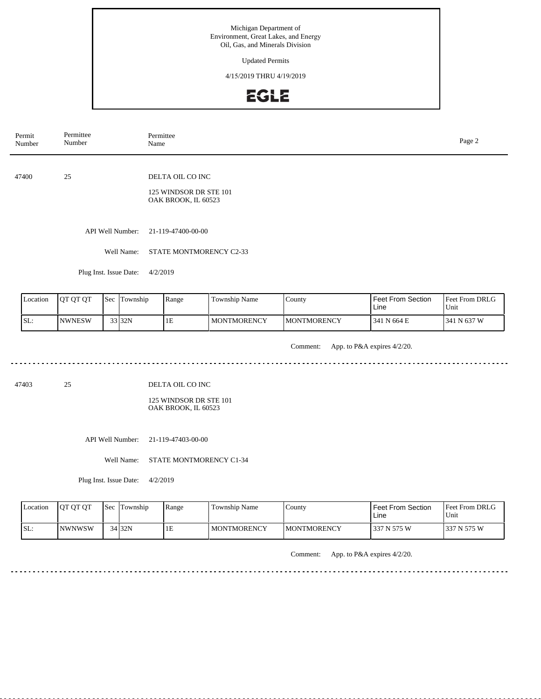Updated Permits

4/15/2019 THRU 4/19/2019

## **EGLE**

| Permit<br>Number | Permittee<br>Number    | Permittee<br>Name                                                 | Page 2 |
|------------------|------------------------|-------------------------------------------------------------------|--------|
| 47400            | 25                     | DELTA OIL CO INC<br>125 WINDSOR DR STE 101<br>OAK BROOK, IL 60523 |        |
|                  | API Well Number:       | 21-119-47400-00-00                                                |        |
|                  | Well Name:             | STATE MONTMORENCY C2-33                                           |        |
|                  | Plug Inst. Issue Date: | 4/2/2019                                                          |        |

| Location | IOT OT OT     | 'Sec | Township | Range | Township Name       | County              | <b>Feet From Section</b><br>Line | Feet From DRLG<br>Unit |
|----------|---------------|------|----------|-------|---------------------|---------------------|----------------------------------|------------------------|
| SL:      | <b>NWNESW</b> |      | 33 32N   | 1E    | <b>IMONTMORENCY</b> | <b>IMONTMORENCY</b> | 341 N 664 E                      | N 637 W<br>341         |

Comment: App. to P&A expires 4/2/20.

47403 25

DELTA OIL CO INC

125 WINDSOR DR STE 101 OAK BROOK, IL 60523

API Well Number: 21-119-47403-00-00

Well Name: STATE MONTMORENCY C1-34

Plug Inst. Issue Date: 4/2/2019

| Location | <b>IOT OT OT</b> | <b>Sec</b> | Township | Range | Township Name      | $\mathcal{L}$ ounty | <b>Feet From Section</b><br>Line | <b>Feet From DRLG</b><br>Unit |
|----------|------------------|------------|----------|-------|--------------------|---------------------|----------------------------------|-------------------------------|
| SL:      | <b>NWNWSW</b>    |            | 34 32N   | ΙE    | <b>MONTMORENCY</b> | IMONTMORENCY        | 337 N 575 W                      | 1337 N 575 W                  |

Comment: App. to P&A expires 4/2/20.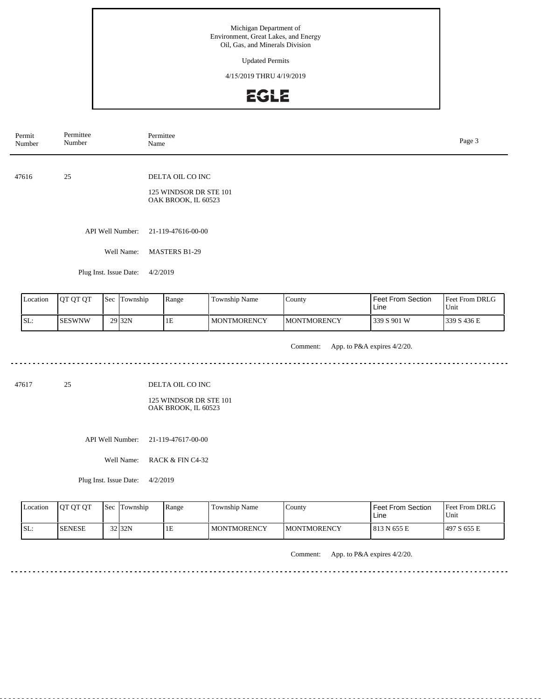Updated Permits

4/15/2019 THRU 4/19/2019

#### **EGLE**

| Permit<br>Number | Permittee<br>Number    | Permittee<br>Name                                                 | Page 3 |
|------------------|------------------------|-------------------------------------------------------------------|--------|
| 47616            | 25                     | DELTA OIL CO INC<br>125 WINDSOR DR STE 101<br>OAK BROOK, IL 60523 |        |
|                  | API Well Number:       | 21-119-47616-00-00                                                |        |
|                  | Well Name:             | <b>MASTERS B1-29</b>                                              |        |
|                  | Plug Inst. Issue Date: | 4/2/2019                                                          |        |

| Location | <b>IOT OT OT</b> | <b>Sec</b> | Township          | Range | <b>Township Name</b> | County              | <b>Feet From Section</b><br>Line | <b>Feet From DRLG</b><br>Unit |
|----------|------------------|------------|-------------------|-------|----------------------|---------------------|----------------------------------|-------------------------------|
| SL:      | <b>SESWNW</b>    |            | 29 <sub>32N</sub> | 1E    | <b>I MONTMORENCY</b> | <b>IMONTMORENCY</b> | 339 S 901 W                      | 339 S 436 E                   |

Comment: App. to P&A expires 4/2/20. 

47617 25

DELTA OIL CO INC

125 WINDSOR DR STE 101 OAK BROOK, IL 60523

API Well Number: 21-119-47617-00-00

Well Name: RACK & FIN C4-32

Plug Inst. Issue Date: 4/2/2019

| Location | <b>IOT OT OT</b> | l Sec | Township           | Range | Township Name      | County       | <b>Feet From Section</b><br>Line | <b>Feet From DRLG</b><br>Unit |
|----------|------------------|-------|--------------------|-------|--------------------|--------------|----------------------------------|-------------------------------|
| SL:      | <b>ISENESE</b>   |       | 32 <sub>132N</sub> | 'IE   | <b>MONTMORENCY</b> | IMONTMORENCY | 813 N 655 E                      | 1497 S 655 E                  |

Comment: App. to P&A expires 4/2/20.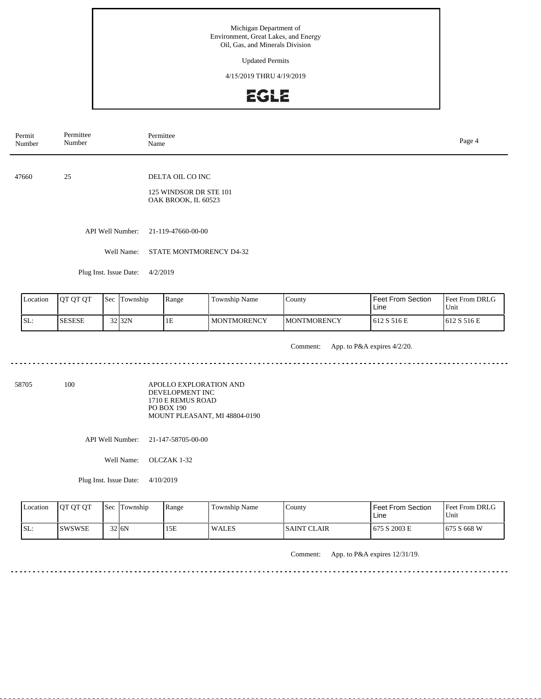Updated Permits

4/15/2019 THRU 4/19/2019

## EGLE

| Permit<br>Number | Permittee<br>Number    | Permittee<br>Name                                                 | Page 4 |
|------------------|------------------------|-------------------------------------------------------------------|--------|
| 47660            | 25                     | DELTA OIL CO INC<br>125 WINDSOR DR STE 101<br>OAK BROOK, IL 60523 |        |
|                  | API Well Number:       | 21-119-47660-00-00                                                |        |
|                  | Well Name:             | STATE MONTMORENCY D4-32                                           |        |
|                  | Plug Inst. Issue Date: | 4/2/2019                                                          |        |
|                  |                        |                                                                   |        |

|     | Location | <b>IOT OT OT</b> | Sec | Township | Range | <b>Township Name</b> | County              | <b>Feet From Section</b><br>Line | Feet From DRLG<br>'Unit |
|-----|----------|------------------|-----|----------|-------|----------------------|---------------------|----------------------------------|-------------------------|
| SL: |          | <b>ISESESE</b>   |     | 32 32N   | 1E    | <b>MONTMORENCY</b>   | <b>IMONTMORENCY</b> | 612 S 516 E                      | 1612 S 516 E            |

Comment: App. to P&A expires 4/2/20.

58705 100

APOLLO EXPLORATION AND DEVELOPMENT INC 1710 E REMUS ROAD PO BOX 190 MOUNT PLEASANT, MI 48804-0190

API Well Number: 21-147-58705-00-00

Well Name: OLCZAK 1-32

Plug Inst. Issue Date: 4/10/2019

| Location | <b>OT OT OT</b> | <b>Sec</b> | Township  | Range | Township Name | County       | <b>Feet From Section</b><br>Line | <b>Feet From DRLG</b><br>Unit |
|----------|-----------------|------------|-----------|-------|---------------|--------------|----------------------------------|-------------------------------|
| ISL:     | <b>ISWSWSE</b>  |            | $32$ $6N$ | 15E   | <b>WALES</b>  | ISAINT CLAIR | 675 S 2003 E                     | 675 S 668 W                   |

Comment: App. to P&A expires 12/31/19.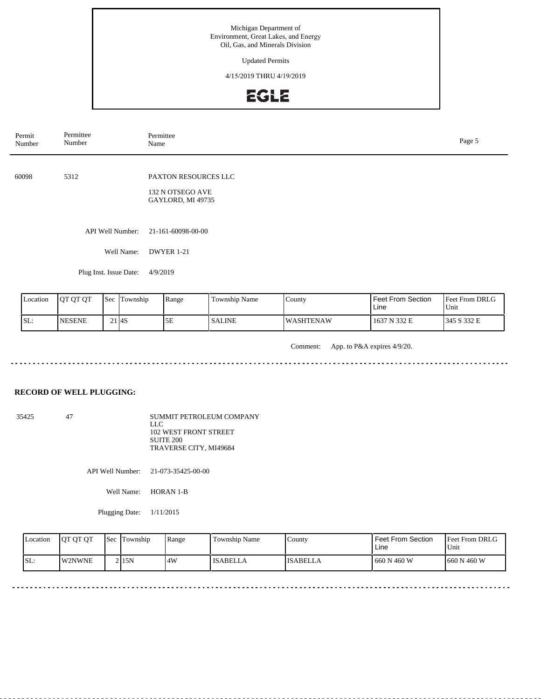Updated Permits

4/15/2019 THRU 4/19/2019

## EGLE

| Permit<br>Number | Permittee<br>Number    | Permittee<br>Name                                             | Page 5 |
|------------------|------------------------|---------------------------------------------------------------|--------|
| 60098            | 5312                   | PAXTON RESOURCES LLC<br>132 N OTSEGO AVE<br>GAYLORD, MI 49735 |        |
|                  | API Well Number:       | 21-161-60098-00-00                                            |        |
|                  | Well Name:             | DWYER 1-21                                                    |        |
|                  | Plug Inst. Issue Date: | 4/9/2019                                                      |        |

| <b>Location</b> | <b>JOT OT OT</b> | <b>Sec</b> | l m<br>Township | Range | Township Name | County            | Feet From Section<br>∟ine | Feet From DRLG<br>Unit |
|-----------------|------------------|------------|-----------------|-------|---------------|-------------------|---------------------------|------------------------|
| SL:             | <b>INESENE</b>   |            | l I4S           | эE    | <b>SALINE</b> | <b>IWASHTENAW</b> | 1637 N 332 E              | 1345 S 332 E           |

Comment: App. to P&A expires 4/9/20.

#### **RECORD OF WELL PLUGGING:**

35425 47 SUMMIT PETROLEUM COMPANY LLC 102 WEST FRONT STREET SUITE 200 TRAVERSE CITY, MI49684

API Well Number: 21-073-35425-00-00

Well Name: HORAN 1-B

Plugging Date: 1/11/2015

| Location | <b>JOT OT OT</b> | <b>Sec</b> | Township | Range | <b>Township Name</b> | County.         | <b>Feet From Section</b><br>Line | Feet From DRLG<br>Unit |
|----------|------------------|------------|----------|-------|----------------------|-----------------|----------------------------------|------------------------|
| ISL:     | <b>IW2NWNE</b>   |            | 2115N    | 4W    | <b>ISABELLA</b>      | <b>ISABELLA</b> | 660 N 460 W                      | 660 N 460 W            |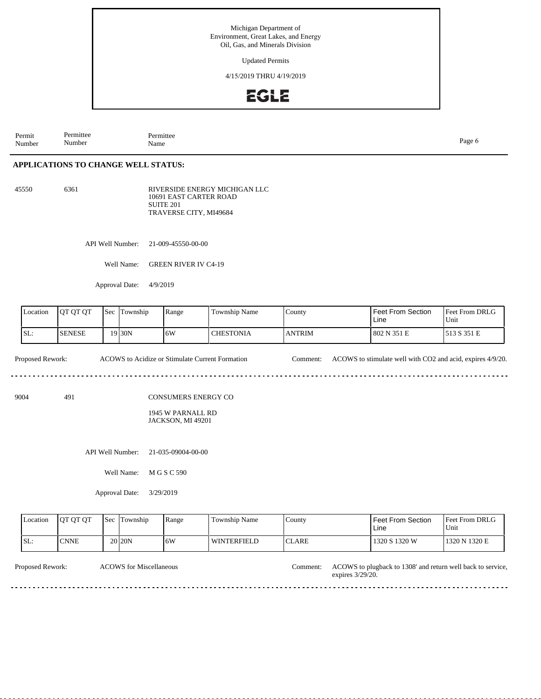Updated Permits

4/15/2019 THRU 4/19/2019

## **EGLE**

Permit Number Permittee Number Permittee<br>Name Name Page 6

#### **APPLICATIONS TO CHANGE WELL STATUS:**

45550 6361 RIVERSIDE ENERGY MICHIGAN LLC 10691 EAST CARTER ROAD SUITE 201

TRAVERSE CITY, MI49684

API Well Number: 21-009-45550-00-00

Well Name: GREEN RIVER IV C4-19

Approval Date: 4/9/2019

| Location | IOT OT OT      | 'Sec | Township | Range | <b>Township Name</b> | County        | l Feet From Section.<br>Line | <b>Feet From DRLG</b><br>Unit |
|----------|----------------|------|----------|-------|----------------------|---------------|------------------------------|-------------------------------|
| SL:      | <b>ISENESE</b> |      | 19 30N   | 16W   | CHESTONIA            | <b>ANTRIM</b> | 802 N 351 E                  | 513 S 351 E                   |

Proposed Rework: ACOWS to Acidize or Stimulate Current Formation Comment: ACOWS to stimulate well with CO2 and acid, expires 4/9/20. 

9004 491

CONSUMERS ENERGY CO

1945 W PARNALL RD JACKSON, MI 49201

API Well Number: 21-035-09004-00-00

Well Name: M G S C 590

Approval Date: 3/29/2019

| Location | <b>IOT OT OT</b> | $\text{Sec}$ . | : Township         | Range | Township Name      | County        | l Feet From Section<br>Line | <b>Feet From DRLG</b><br>l Unit |
|----------|------------------|----------------|--------------------|-------|--------------------|---------------|-----------------------------|---------------------------------|
| SL:      | <b>CNNE</b>      |                | 20 <sub>20</sub> N | 16W   | <b>WINTERFIELD</b> | <b>ICLARE</b> | 1320 S 1320 W               | 1320 N 1320 E                   |
|          |                  |                |                    |       |                    |               |                             |                                 |

Proposed Rework: ACOWS to plugback to 1308' and return well back to service, expires 3/29/20. ACOWS for Miscellaneous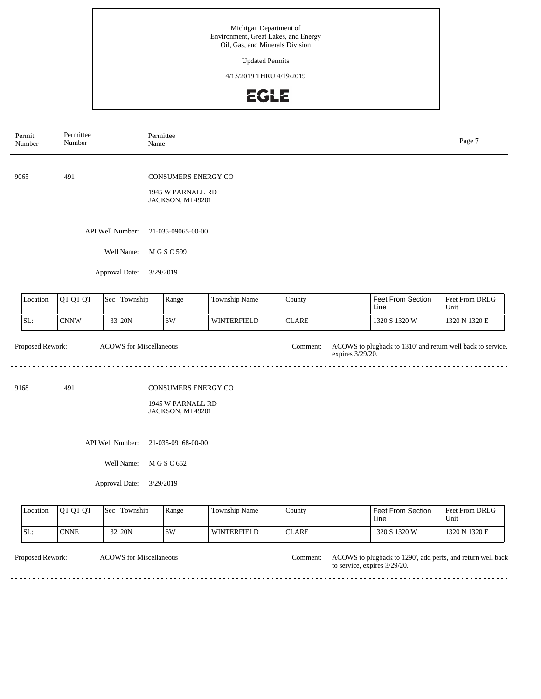Updated Permits

4/15/2019 THRU 4/19/2019

## EGLE

| Permit<br>Number | Permittee<br>Number |     | Permittee<br>Name              |                                        |                    |                              |                                                             | Page 7                 |
|------------------|---------------------|-----|--------------------------------|----------------------------------------|--------------------|------------------------------|-------------------------------------------------------------|------------------------|
| 9065             | 491                 |     |                                | CONSUMERS ENERGY CO                    |                    |                              |                                                             |                        |
|                  |                     |     |                                | 1945 W PARNALL RD<br>JACKSON, MI 49201 |                    |                              |                                                             |                        |
|                  | API Well Number:    |     |                                |                                        |                    |                              |                                                             |                        |
|                  |                     |     | Well Name:                     | M G S C 599                            |                    |                              |                                                             |                        |
|                  |                     |     | Approval Date:                 | 3/29/2019                              |                    |                              |                                                             |                        |
| Location         | QT QT QT            |     | Sec Township                   | Range                                  | Township Name      | County                       | Feet From Section<br>Line                                   | Feet From DRLG<br>Unit |
| SL:              | <b>CNNW</b>         |     | 33 20N                         | 6W                                     | <b>WINTERFIELD</b> | <b>CLARE</b>                 | 1320 S 1320 W                                               | 1320 N 1320 E          |
| Proposed Rework: |                     |     | <b>ACOWS</b> for Miscellaneous |                                        |                    | Comment:<br>expires 3/29/20. | ACOWS to plugback to 1310' and return well back to service, |                        |
| 9168             | 491                 |     |                                | CONSUMERS ENERGY CO                    |                    |                              |                                                             |                        |
|                  |                     |     |                                | 1945 W PARNALL RD<br>JACKSON, MI 49201 |                    |                              |                                                             |                        |
|                  |                     |     | API Well Number:               | 21-035-09168-00-00                     |                    |                              |                                                             |                        |
|                  |                     |     | Well Name:                     | M G S C 652                            |                    |                              |                                                             |                        |
|                  |                     |     | Approval Date:                 | 3/29/2019                              |                    |                              |                                                             |                        |
| Location         | QT QT QT            | Sec | Township                       | Range                                  | Township Name      | County                       | <b>Feet From Section</b><br>Line                            | Feet From DRLG<br>Unit |
| SL:              | <b>CNNE</b>         |     | 32 20N                         | 6W                                     | <b>WINTERFIELD</b> | <b>CLARE</b>                 | 1320 S 1320 W                                               | 1320 N 1320 E          |

Proposed Rework: ACOWS for Miscellaneous and the comment: ACOWS to plugback to 1290', add perfs, and return well back to service, expires 3/29/20. ACOWS for Miscellaneous Comment:

dia dia dia d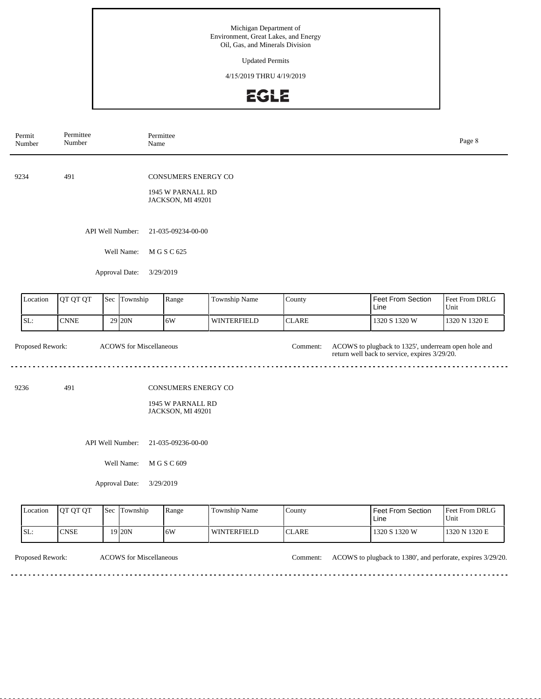Updated Permits

4/15/2019 THRU 4/19/2019

# EGLE

| Permit<br>Number         | Permittee<br>Number |     |                                                  | Permittee<br>Name                                                                                      |                      |              |                                                                                                      | Page 8                 |
|--------------------------|---------------------|-----|--------------------------------------------------|--------------------------------------------------------------------------------------------------------|----------------------|--------------|------------------------------------------------------------------------------------------------------|------------------------|
| 9234                     | 491                 |     |                                                  | CONSUMERS ENERGY CO<br>1945 W PARNALL RD<br>JACKSON, MI 49201                                          |                      |              |                                                                                                      |                        |
|                          |                     |     | API Well Number:                                 | 21-035-09234-00-00                                                                                     |                      |              |                                                                                                      |                        |
|                          |                     |     | Well Name:                                       | M G S C 625                                                                                            |                      |              |                                                                                                      |                        |
|                          |                     |     | Approval Date:                                   | 3/29/2019                                                                                              |                      |              |                                                                                                      |                        |
| Location                 | QT QT QT            | Sec | Township                                         | Range                                                                                                  | Township Name        | County       | Feet From Section<br>Line                                                                            | Feet From DRLG<br>Unit |
| SL:                      | <b>CNNE</b>         |     | 29 20N                                           | 6W                                                                                                     | WINTERFIELD          | <b>CLARE</b> | 1320 S 1320 W                                                                                        | 1320 N 1320 E          |
| Proposed Rework:<br>9236 | 491                 |     |                                                  | <b>ACOWS</b> for Miscellaneous<br><b>CONSUMERS ENERGY CO</b><br>1945 W PARNALL RD<br>JACKSON, MI 49201 |                      | Comment:     | ACOWS to plugback to 1325', underream open hole and<br>return well back to service, expires 3/29/20. |                        |
|                          |                     |     | API Well Number:<br>Well Name:<br>Approval Date: | 21-035-09236-00-00<br>M G S C 609<br>3/29/2019                                                         |                      |              |                                                                                                      |                        |
| Location                 | QT QT QT            |     | Sec Township                                     | Range                                                                                                  | <b>Township Name</b> | County       | <b>Feet From Section</b>                                                                             | Feet From DRLG         |

|      | Location | <b>IOT OT OT</b> | 'Sec | Township          | Range | $\mathbf{r}$<br>$\sim$<br>Township Name | County | <b>I</b> Feet From Section<br>Line | <b>Feet From DRLG</b><br>Unit |
|------|----------|------------------|------|-------------------|-------|-----------------------------------------|--------|------------------------------------|-------------------------------|
| ISL: |          | <b>CNSE</b>      |      | 19 <sub>20N</sub> | .6W   | <b>WINTERFIELD</b>                      | ICLARE | 1320 S 1320 W                      | 1320 N 1320 E                 |

- - - - -

. . . . . . . . . . . . . . . . . .

 $\overline{\phantom{a}}$ 

Proposed Rework: ACOWS for Miscellaneous Comment: ACOWS to plugback to 1380', and perforate, expires 3/29/20.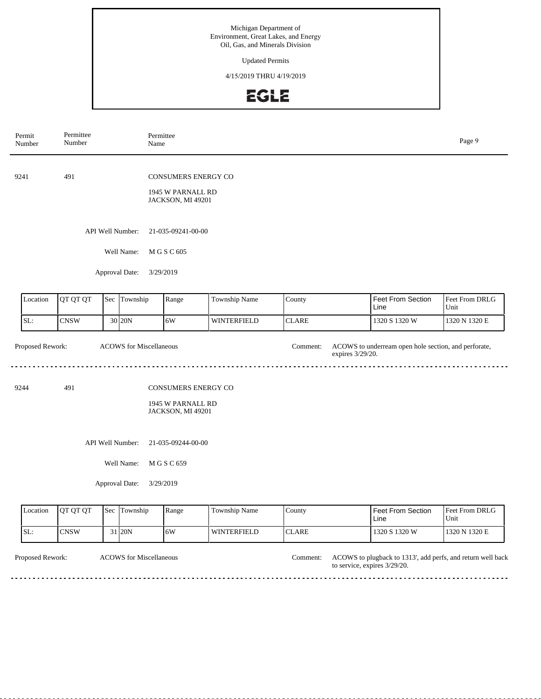Updated Permits

4/15/2019 THRU 4/19/2019

## **EGLE**

| Permit<br>Number            | Permittee<br>Number                    |                                        | Permittee<br>Name              |                                                                                      |                    |              |                                  | Page 9                 |  |
|-----------------------------|----------------------------------------|----------------------------------------|--------------------------------|--------------------------------------------------------------------------------------|--------------------|--------------|----------------------------------|------------------------|--|
| 9241                        | 491                                    |                                        |                                | CONSUMERS ENERGY CO<br>1945 W PARNALL RD                                             |                    |              |                                  |                        |  |
|                             |                                        |                                        |                                | JACKSON, MI 49201                                                                    |                    |              |                                  |                        |  |
|                             |                                        |                                        | API Well Number:               | 21-035-09241-00-00                                                                   |                    |              |                                  |                        |  |
|                             |                                        |                                        | Well Name:                     | M G S C 605                                                                          |                    |              |                                  |                        |  |
|                             |                                        |                                        | Approval Date:                 | 3/29/2019                                                                            |                    |              |                                  |                        |  |
| Location                    | QT QT QT                               |                                        | Sec Township                   | Range                                                                                | Township Name      | County       | Feet From Section<br>Line        | Feet From DRLG<br>Unit |  |
| SL:                         | <b>CNSW</b>                            |                                        | 30 20N                         | 6W                                                                                   | WINTERFIELD        | <b>CLARE</b> | 1320 S 1320 W                    | 1320 N 1320 E          |  |
| Proposed Rework:            |                                        |                                        | <b>ACOWS</b> for Miscellaneous | ACOWS to underream open hole section, and perforate,<br>Comment:<br>expires 3/29/20. |                    |              |                                  |                        |  |
| 9244                        | 491                                    |                                        |                                | CONSUMERS ENERGY CO                                                                  |                    |              |                                  |                        |  |
|                             |                                        |                                        |                                | 1945 W PARNALL RD<br>JACKSON, MI 49201                                               |                    |              |                                  |                        |  |
|                             | API Well Number:<br>21-035-09244-00-00 |                                        |                                |                                                                                      |                    |              |                                  |                        |  |
|                             |                                        |                                        | Well Name:<br>M G S C 659      |                                                                                      |                    |              |                                  |                        |  |
| Approval Date:<br>3/29/2019 |                                        |                                        |                                |                                                                                      |                    |              |                                  |                        |  |
| Location                    | QT QT QT                               | Sec Township<br>Township Name<br>Range |                                |                                                                                      |                    | County       | <b>Feet From Section</b><br>Line | Feet From DRLG<br>Unit |  |
| SL:                         | <b>CNSW</b>                            |                                        | 31 20N                         | 6W                                                                                   | <b>WINTERFIELD</b> | <b>CLARE</b> | 1320 S 1320 W                    | 1320 N 1320 E          |  |

Proposed Rework: ACOWS to plugback to 1313', add perfs, and return well back to service, expires 3/29/20. ACOWS for Miscellaneous Comment: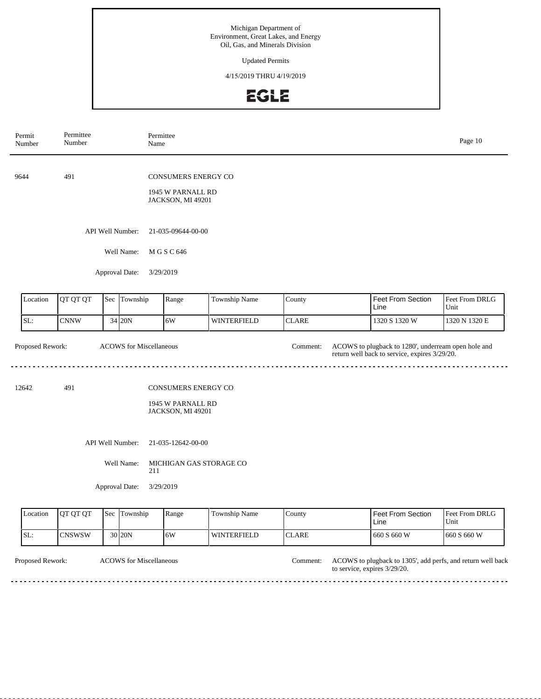Updated Permits

4/15/2019 THRU 4/19/2019

# EGLE

| Permit<br>Number | Permittee<br>Number |     | Permittee<br>Name              |                                                                      |                    |              |                                                                                                      | Page 10                |  |
|------------------|---------------------|-----|--------------------------------|----------------------------------------------------------------------|--------------------|--------------|------------------------------------------------------------------------------------------------------|------------------------|--|
| 9644             | 491                 |     |                                | CONSUMERS ENERGY CO<br>1945 W PARNALL RD<br>JACKSON, MI 49201        |                    |              |                                                                                                      |                        |  |
|                  |                     |     | API Well Number:               | 21-035-09644-00-00                                                   |                    |              |                                                                                                      |                        |  |
|                  |                     |     | Well Name:                     | M G S C 646                                                          |                    |              |                                                                                                      |                        |  |
|                  |                     |     | Approval Date:                 | 3/29/2019                                                            |                    |              |                                                                                                      |                        |  |
| Location         | QT QT QT            | Sec | Township                       | Range                                                                | Township Name      | County       | Feet From Section<br>Line                                                                            | Feet From DRLG<br>Unit |  |
| SL:              | <b>CNNW</b>         |     | 34 20N                         | 6W                                                                   | <b>WINTERFIELD</b> | <b>CLARE</b> | 1320 S 1320 W                                                                                        | 1320 N 1320 E          |  |
| Proposed Rework: |                     |     | <b>ACOWS</b> for Miscellaneous |                                                                      |                    | Comment:     | ACOWS to plugback to 1280', underream open hole and<br>return well back to service, expires 3/29/20. |                        |  |
| 12642            | 491                 |     |                                | <b>CONSUMERS ENERGY CO</b><br>1945 W PARNALL RD<br>JACKSON, MI 49201 |                    |              |                                                                                                      |                        |  |
|                  |                     |     | API Well Number:               | 21-035-12642-00-00                                                   |                    |              |                                                                                                      |                        |  |
|                  |                     |     | Well Name:<br>211              | MICHIGAN GAS STORAGE CO                                              |                    |              |                                                                                                      |                        |  |
|                  |                     |     | Approval Date:                 | 3/29/2019                                                            |                    |              |                                                                                                      |                        |  |
| Location         | QT QT QT            |     | Sec Township                   | Range                                                                | Township Name      | County       | Feet From Section<br>Line                                                                            | Feet From DRLG<br>Unit |  |

**CLARE** 

<u>. . . . . . . . .</u>

ACOWS for Miscellaneous Comment:

30 20N 6W WINTERFIELD

 $\sim$   $\sim$   $\sim$ 

SL: CNSWSW

 $-$ 

Proposed Rework: ACOWS to plugback to 1305', add perfs, and return well back to service, expires 3/29/20.

> $\mathbb{Z} \times \mathbb{Z} \times \mathbb{Z}$

660 S 660 W 660 S 660 W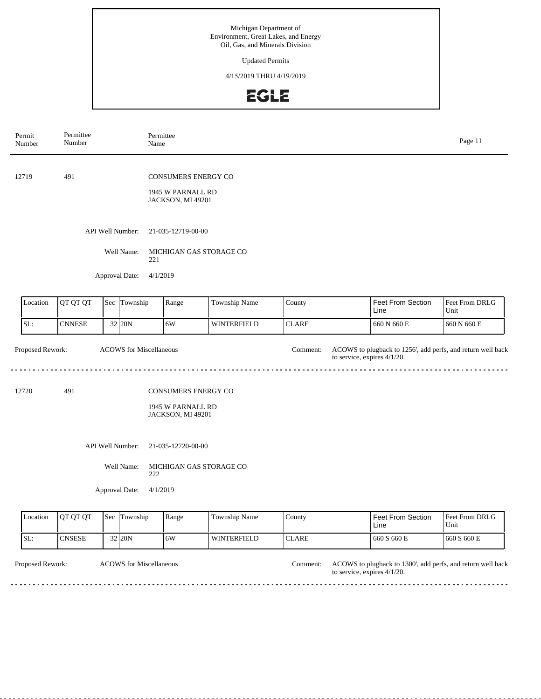Updated Permits

4/15/2019 THRU 4/19/2019

## EGLE

| Permit<br>Number | Permittee<br>Number |        | Permittee<br>Name                               |                                                                      |                    | Page 11      |                                                                                               |                        |
|------------------|---------------------|--------|-------------------------------------------------|----------------------------------------------------------------------|--------------------|--------------|-----------------------------------------------------------------------------------------------|------------------------|
| 12719            | 491                 |        |                                                 | <b>CONSUMERS ENERGY CO</b><br>1945 W PARNALL RD<br>JACKSON, MI 49201 |                    |              |                                                                                               |                        |
|                  |                     |        | API Well Number:<br>Well Name:                  | 21-035-12719-00-00<br>MICHIGAN GAS STORAGE CO                        |                    |              |                                                                                               |                        |
|                  |                     |        | 221<br>Approval Date:<br>4/1/2019               |                                                                      |                    |              |                                                                                               |                        |
| Location         | QT QT QT            |        | Sec Township                                    | Range                                                                | Township Name      | County       | Feet From Section<br>Line                                                                     | Feet From DRLG<br>Unit |
| SL:              | <b>CNNESE</b>       |        | 32 20N                                          | 6W                                                                   | WINTERFIELD        | <b>CLARE</b> | 660 N 660 E                                                                                   | 660 N 660 E            |
| Proposed Rework: |                     |        | <b>ACOWS</b> for Miscellaneous                  |                                                                      |                    | Comment:     | ACOWS to plugback to 1256', add perfs, and return well back<br>to service, expires $4/1/20$ . |                        |
| 12720            | 491                 |        |                                                 | <b>CONSUMERS ENERGY CO</b><br>1945 W PARNALL RD<br>JACKSON, MI 49201 |                    |              |                                                                                               |                        |
|                  |                     |        | API Well Number:                                | 21-035-12720-00-00                                                   |                    |              |                                                                                               |                        |
|                  |                     |        | Well Name:<br>222<br>Approval Date:<br>4/1/2019 | MICHIGAN GAS STORAGE CO                                              |                    |              |                                                                                               |                        |
| Location         | QT QT QT            |        | Sec Township<br>Range<br>Township Name          |                                                                      |                    | County       | Feet From Section<br>Line                                                                     | Feet From DRLG<br>Unit |
| SL:              | <b>CNSESE</b>       | 32 20N |                                                 | 6W                                                                   | <b>WINTERFIELD</b> | <b>CLARE</b> | 660 S 660 E                                                                                   | 660 S 660 E            |

Proposed Rework: ACOWS for Miscellaneous and the comment: ACOWS to plugback to 1300', add perfs, and return well back to service, expires 4/1/20. ACOWS for Miscellaneous Comment:

 $- - - - - - - -$ 

. . . . . . . . . . . . . . . . .

 $\sim$   $\sim$   $\sim$ 

a a a a a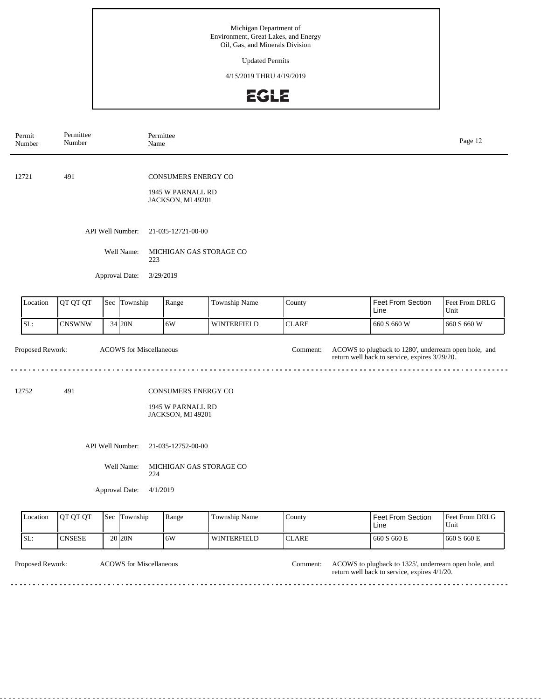Updated Permits

4/15/2019 THRU 4/19/2019

## **EGLE**

| Permit<br>Number           | Permittee<br>Number |     |                                | Permittee<br>Name                                                    |                    |              |                                                                                                       | Page 12                |
|----------------------------|---------------------|-----|--------------------------------|----------------------------------------------------------------------|--------------------|--------------|-------------------------------------------------------------------------------------------------------|------------------------|
| 12721                      | 491                 |     |                                | <b>CONSUMERS ENERGY CO</b><br>1945 W PARNALL RD<br>JACKSON, MI 49201 |                    |              |                                                                                                       |                        |
|                            |                     |     | API Well Number:               | 21-035-12721-00-00                                                   |                    |              |                                                                                                       |                        |
|                            |                     |     | Well Name:<br>223              | MICHIGAN GAS STORAGE CO                                              |                    |              |                                                                                                       |                        |
|                            |                     |     | Approval Date:                 | 3/29/2019                                                            |                    |              |                                                                                                       |                        |
| Location                   | QT QT QT            |     | Sec Township                   | Range                                                                | Township Name      | County       | <b>Feet From Section</b><br>Line                                                                      | Feet From DRLG<br>Unit |
| SL:                        | <b>CNSWNW</b>       |     | 34 20N                         | 6W                                                                   | <b>WINTERFIELD</b> | <b>CLARE</b> | 660 S 660 W                                                                                           | 660 S 660 W            |
| Proposed Rework:           |                     |     | <b>ACOWS</b> for Miscellaneous |                                                                      |                    | Comment:     | ACOWS to plugback to 1280', underream open hole, and<br>return well back to service, expires 3/29/20. |                        |
| 12752                      | 491                 |     |                                | <b>CONSUMERS ENERGY CO</b><br>1945 W PARNALL RD<br>JACKSON, MI 49201 |                    |              |                                                                                                       |                        |
|                            |                     |     | API Well Number:               | 21-035-12752-00-00                                                   |                    |              |                                                                                                       |                        |
|                            |                     |     | Well Name:<br>224              | MICHIGAN GAS STORAGE CO                                              |                    |              |                                                                                                       |                        |
| Approval Date:<br>4/1/2019 |                     |     |                                |                                                                      |                    |              |                                                                                                       |                        |
| Location                   | QT QT QT            | Sec | Township                       | Range                                                                | Township Name      | County       | Feet From Section<br>Line                                                                             | Feet From DRLG<br>Unit |
| SL:                        | <b>CNSESE</b>       |     | 20 20N                         | 6W                                                                   | WINTERFIELD        | <b>CLARE</b> | 660 S 660 E                                                                                           | 660 S 660 E            |

Proposed Rework: ACOWS for Miscellaneous **ACOWS** to plugback to 1325', underream open hole, and return well back to service, expires 4/1/20. ACOWS for Miscellaneous Comment:

. . . . . . . . . .

 $\sim$   $\sim$   $\sim$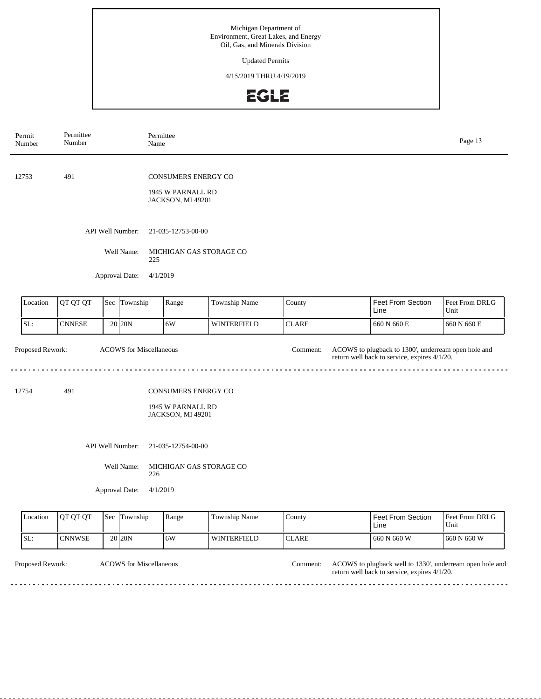Updated Permits

4/15/2019 THRU 4/19/2019

## **EGLE**

| Permit<br>Number | Permittee<br>Number                    |     |                                       | Permittee<br>Name                                                    |               |              |                                                                                                     | Page 13                |
|------------------|----------------------------------------|-----|---------------------------------------|----------------------------------------------------------------------|---------------|--------------|-----------------------------------------------------------------------------------------------------|------------------------|
| 12753            | 491                                    |     |                                       | <b>CONSUMERS ENERGY CO</b><br>1945 W PARNALL RD<br>JACKSON, MI 49201 |               |              |                                                                                                     |                        |
|                  |                                        |     | API Well Number:<br>Well Name:<br>225 | 21-035-12753-00-00<br>MICHIGAN GAS STORAGE CO                        |               |              |                                                                                                     |                        |
|                  |                                        |     | Approval Date:                        | 4/1/2019                                                             |               |              |                                                                                                     |                        |
| Location         | QT QT QT                               | Sec | Township                              | Range                                                                | Township Name | County       | <b>Feet From Section</b><br>Line                                                                    | Feet From DRLG<br>Unit |
| SL:              | <b>CNNESE</b>                          |     | $20$ 20N                              | 6W                                                                   | WINTERFIELD   | <b>CLARE</b> | 660 N 660 E                                                                                         | $660$ N $660\to$       |
| Proposed Rework: |                                        |     | <b>ACOWS</b> for Miscellaneous        |                                                                      |               | Comment:     | ACOWS to plugback to 1300', underream open hole and<br>return well back to service, expires 4/1/20. |                        |
| 12754            | 491                                    |     |                                       | <b>CONSUMERS ENERGY CO</b><br>1945 W PARNALL RD<br>JACKSON, MI 49201 |               |              |                                                                                                     |                        |
|                  | API Well Number:<br>21-035-12754-00-00 |     |                                       |                                                                      |               |              |                                                                                                     |                        |
|                  |                                        |     | Well Name:<br>226                     | MICHIGAN GAS STORAGE CO                                              |               |              |                                                                                                     |                        |
|                  |                                        |     | Approval Date:                        | 4/1/2019                                                             |               |              |                                                                                                     |                        |
| Location         | QT QT QT                               | Sec | Township<br>Township Name<br>Range    |                                                                      |               | County       | Feet From Section<br>Line                                                                           | Feet From DRLG<br>Unit |
| SL:              | <b>CNNWSE</b>                          |     | 20 20N                                | 6W                                                                   | WINTERFIELD   | <b>CLARE</b> | 660 N 660 W                                                                                         | 660 N 660 W            |

Proposed Rework: ACOWS for Miscellaneous and the comment: ACOWS to plugback well to 1330', underream open hole and return well back to service, expires 4/1/20. ACOWS for Miscellaneous Comment:

 $\sim$   $\sim$   $\sim$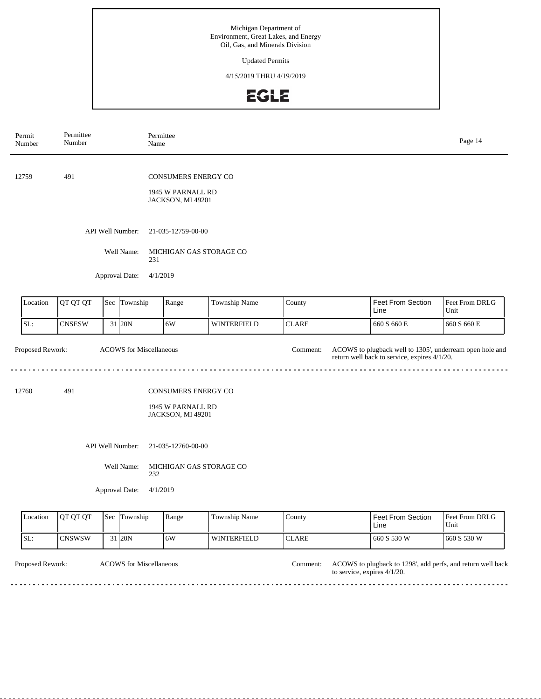Updated Permits

4/15/2019 THRU 4/19/2019

## **EGLE**

| Permit<br>Number | Permittee<br>Number                                                         |     |                                | Permittee<br>Name                                             |                    |              |                                                                                                          | Page 14                |
|------------------|-----------------------------------------------------------------------------|-----|--------------------------------|---------------------------------------------------------------|--------------------|--------------|----------------------------------------------------------------------------------------------------------|------------------------|
| 12759            | 491                                                                         |     |                                | CONSUMERS ENERGY CO<br>1945 W PARNALL RD<br>JACKSON, MI 49201 |                    |              |                                                                                                          |                        |
|                  |                                                                             |     | API Well Number:<br>Well Name: | 21-035-12759-00-00<br>MICHIGAN GAS STORAGE CO                 |                    |              |                                                                                                          |                        |
|                  |                                                                             |     | Approval Date:                 | 231<br>4/1/2019                                               |                    |              |                                                                                                          |                        |
| Location         | QT QT QT                                                                    |     | Sec Township                   | Range                                                         | Township Name      | County       | Feet From Section<br>Line                                                                                | Feet From DRLG<br>Unit |
| SL:              | <b>CNSESW</b>                                                               |     | $31$ 20N                       | 6W                                                            | WINTERFIELD        | <b>CLARE</b> | 660 S 660 E                                                                                              | 660 S 660 E            |
|                  | Proposed Rework:<br><b>ACOWS</b> for Miscellaneous                          |     |                                |                                                               |                    | Comment:     | ACOWS to plugback well to 1305', underream open hole and<br>return well back to service, expires 4/1/20. |                        |
| 12760            | 491<br><b>CONSUMERS ENERGY CO</b><br>1945 W PARNALL RD<br>JACKSON, MI 49201 |     |                                |                                                               |                    |              |                                                                                                          |                        |
|                  |                                                                             |     | API Well Number:<br>Well Name: | 21-035-12760-00-00<br>MICHIGAN GAS STORAGE CO<br>232          |                    |              |                                                                                                          |                        |
|                  |                                                                             |     | Approval Date:                 | 4/1/2019                                                      |                    |              |                                                                                                          |                        |
| Location         | QT QT QT                                                                    | Sec | Township                       | Range                                                         | Township Name      | County       | Feet From Section<br>Line                                                                                | Feet From DRLG<br>Unit |
| SL:              | <b>CNSWSW</b>                                                               |     | 31 20N                         | 6W                                                            | <b>WINTERFIELD</b> | <b>CLARE</b> | 660 S 530 W                                                                                              | 660 S 530 W            |

Proposed Rework: ACOWS for Miscellaneous Comment: ACOWS to plugback to 1298', add perfs, and return well back to service, expires 4/1/20. ACOWS for Miscellaneous

> <u>. . . . . . . . . . . . .</u> . . . . . . . . . . . . . . . . . . .

 $- - - -$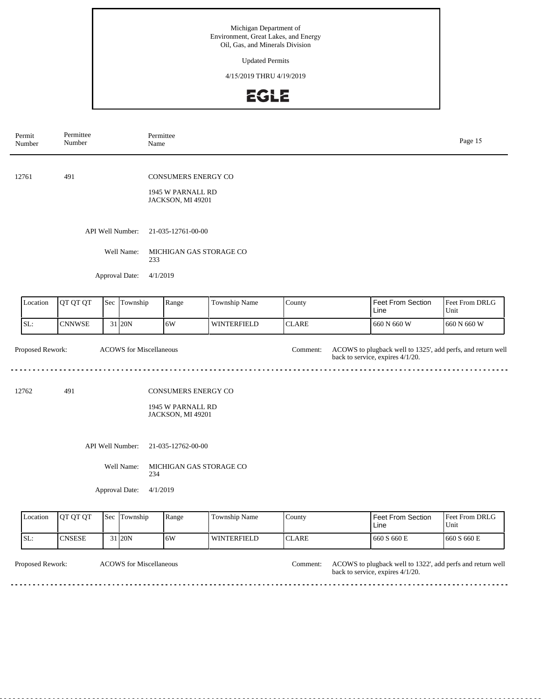Updated Permits

4/15/2019 THRU 4/19/2019

## **EGLE**

| Permit<br>Number | Permittee<br>Number                                |  |                                | Permittee<br>Name                                                    |                    |                           |                                                                                                 | Page 15                |  |  |
|------------------|----------------------------------------------------|--|--------------------------------|----------------------------------------------------------------------|--------------------|---------------------------|-------------------------------------------------------------------------------------------------|------------------------|--|--|
| 12761            | 491                                                |  |                                | <b>CONSUMERS ENERGY CO</b><br>1945 W PARNALL RD<br>JACKSON, MI 49201 |                    |                           |                                                                                                 |                        |  |  |
|                  |                                                    |  | API Well Number:               | 21-035-12761-00-00                                                   |                    |                           |                                                                                                 |                        |  |  |
|                  |                                                    |  | Well Name:                     | MICHIGAN GAS STORAGE CO<br>233                                       |                    |                           |                                                                                                 |                        |  |  |
|                  |                                                    |  | Approval Date:                 | 4/1/2019                                                             |                    |                           |                                                                                                 |                        |  |  |
| Location         | QT QT QT                                           |  | Sec Township                   | Range                                                                | Township Name      | County                    | Feet From Section<br>Line                                                                       | Feet From DRLG<br>Unit |  |  |
| SL:              | <b>CNNWSE</b>                                      |  | 31 20N                         | 6W                                                                   | <b>WINTERFIELD</b> | <b>CLARE</b>              | 660 N 660 W                                                                                     | 660 N 660 W            |  |  |
| Proposed Rework: |                                                    |  | <b>ACOWS</b> for Miscellaneous |                                                                      |                    | Comment:                  | ACOWS to plugback well to 1325', add perfs, and return well<br>back to service, expires 4/1/20. |                        |  |  |
| 12762            | 491                                                |  |                                | CONSUMERS ENERGY CO<br>1945 W PARNALL RD<br>JACKSON, MI 49201        |                    |                           |                                                                                                 |                        |  |  |
|                  |                                                    |  | API Well Number:               | 21-035-12762-00-00                                                   |                    |                           |                                                                                                 |                        |  |  |
|                  |                                                    |  | Well Name:                     | MICHIGAN GAS STORAGE CO<br>234                                       |                    |                           |                                                                                                 |                        |  |  |
|                  |                                                    |  | Approval Date:                 | 4/1/2019                                                             |                    |                           |                                                                                                 |                        |  |  |
| Location         | Sec Township<br>QT QT QT<br>Range<br>Township Name |  |                                |                                                                      | County             | Feet From Section<br>Line | Feet From DRLG<br>Unit                                                                          |                        |  |  |
| SL:              | <b>CNSESE</b>                                      |  | $31$ 20N                       | 6W                                                                   | <b>WINTERFIELD</b> | <b>CLARE</b>              | 660 S 660 E                                                                                     | 660 S 660 E            |  |  |

ACOWS for Miscellaneous Comment: Proposed Rework: ACOWS to plugback well to 1322', add perfs and return well back to service, expires 4/1/20. 

<u>. . . . . . . . . . . . . . . .</u>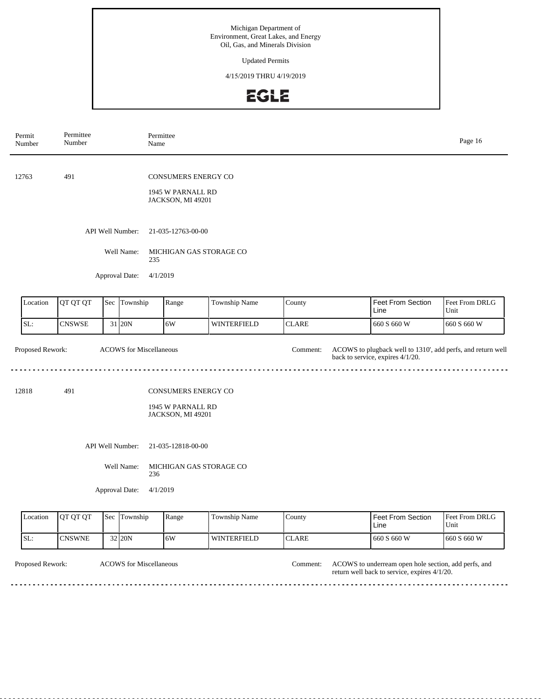Updated Permits

4/15/2019 THRU 4/19/2019

## **EGLE**

| Permit<br>Number                             | Permittee<br>Number                                                         |     |                                    | Permittee<br>Name                                                    |                         |              | Page 16                                                                                         |                        |
|----------------------------------------------|-----------------------------------------------------------------------------|-----|------------------------------------|----------------------------------------------------------------------|-------------------------|--------------|-------------------------------------------------------------------------------------------------|------------------------|
| 12763                                        | 491                                                                         |     |                                    | <b>CONSUMERS ENERGY CO</b><br>1945 W PARNALL RD<br>JACKSON, MI 49201 |                         |              |                                                                                                 |                        |
|                                              |                                                                             |     | API Well Number:                   | 21-035-12763-00-00                                                   |                         |              |                                                                                                 |                        |
|                                              |                                                                             |     | Well Name:                         | 235                                                                  | MICHIGAN GAS STORAGE CO |              |                                                                                                 |                        |
|                                              |                                                                             |     | Approval Date:                     | 4/1/2019                                                             |                         |              |                                                                                                 |                        |
| Location                                     | QT QT QT                                                                    |     | Sec Township                       | Range                                                                | Township Name           | County       | <b>Feet From Section</b><br>Line                                                                | Feet From DRLG<br>Unit |
| SL:                                          | <b>CNSWSE</b>                                                               |     | 31 20N                             | 6W                                                                   | <b>WINTERFIELD</b>      | <b>CLARE</b> | 660 S 660 W                                                                                     | 660 S 660 W            |
| Proposed Rework:                             |                                                                             |     | <b>ACOWS</b> for Miscellaneous     |                                                                      |                         | Comment:     | ACOWS to plugback well to 1310', add perfs, and return well<br>back to service, expires 4/1/20. |                        |
| 12818                                        | 491<br><b>CONSUMERS ENERGY CO</b><br>1945 W PARNALL RD<br>JACKSON, MI 49201 |     |                                    |                                                                      |                         |              |                                                                                                 |                        |
|                                              |                                                                             |     | API Well Number:                   | 21-035-12818-00-00                                                   |                         |              |                                                                                                 |                        |
| Well Name:<br>MICHIGAN GAS STORAGE CO<br>236 |                                                                             |     |                                    |                                                                      |                         |              |                                                                                                 |                        |
|                                              |                                                                             |     | Approval Date:                     | 4/1/2019                                                             |                         |              |                                                                                                 |                        |
| Location                                     | QT QT QT                                                                    | Sec | Township<br>Range<br>Township Name |                                                                      |                         | County       | <b>Feet From Section</b><br>Line                                                                | Feet From DRLG<br>Unit |
| SL:                                          | <b>CNSWNE</b>                                                               |     | 32 20N                             | 6W                                                                   | <b>WINTERFIELD</b>      | <b>CLARE</b> | 660 S 660 W                                                                                     | 660 S 660 W            |

Proposed Rework: ACOWS to underream open hole section, add perfs, and return well back to service, expires 4/1/20. ACOWS for Miscellaneous Comment:

 $\begin{array}{cccccccccc} \bullet & \bullet & \bullet & \bullet & \bullet & \bullet & \bullet & \bullet \end{array}$ 

<u>. . . . . . .</u>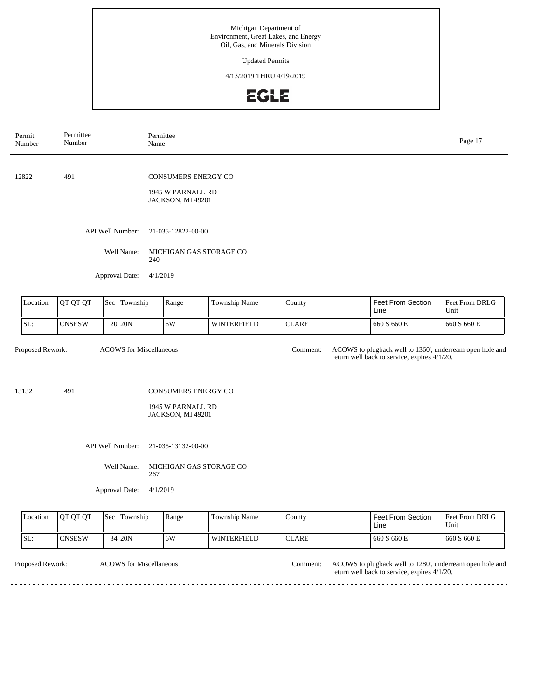Updated Permits

4/15/2019 THRU 4/19/2019

## **EGLE**

| Permit<br>Number | Permittee<br>Number                                   |  | Name                                                    | Permittee                                                            |                    |              |                                                                                                          | Page 17                |
|------------------|-------------------------------------------------------|--|---------------------------------------------------------|----------------------------------------------------------------------|--------------------|--------------|----------------------------------------------------------------------------------------------------------|------------------------|
| 12822            | 491                                                   |  |                                                         | CONSUMERS ENERGY CO<br>1945 W PARNALL RD<br>JACKSON, MI 49201        |                    |              |                                                                                                          |                        |
|                  |                                                       |  | API Well Number:                                        | 21-035-12822-00-00                                                   |                    |              |                                                                                                          |                        |
|                  |                                                       |  | Well Name:<br>240<br>Approval Date:                     | MICHIGAN GAS STORAGE CO<br>4/1/2019                                  |                    |              |                                                                                                          |                        |
| Location         | QT QT QT                                              |  | Sec Township                                            | Range                                                                | Township Name      | County       | Feet From Section<br>Line                                                                                | Feet From DRLG<br>Unit |
| SL:              | <b>CNSESW</b>                                         |  | $20$ 20N                                                | 6W                                                                   | <b>WINTERFIELD</b> | <b>CLARE</b> | 660 S 660 E                                                                                              | 660 S 660 E            |
| Proposed Rework: |                                                       |  | <b>ACOWS</b> for Miscellaneous                          |                                                                      |                    | Comment:     | ACOWS to plugback well to 1360', underream open hole and<br>return well back to service, expires 4/1/20. |                        |
| 13132            | 491                                                   |  |                                                         | <b>CONSUMERS ENERGY CO</b><br>1945 W PARNALL RD<br>JACKSON, MI 49201 |                    |              |                                                                                                          |                        |
|                  |                                                       |  | API Well Number:<br>Well Name:<br>267<br>Approval Date: | 21-035-13132-00-00<br>MICHIGAN GAS STORAGE CO<br>4/1/2019            |                    |              |                                                                                                          |                        |
| Location         | QT QT QT<br>Township Name<br>Sec<br>Township<br>Range |  |                                                         |                                                                      |                    | County       | Feet From Section<br>Line                                                                                | Feet From DRLG<br>Unit |
| SL:              | <b>CNSESW</b>                                         |  | 34 20N                                                  | 6W                                                                   | WINTERFIELD        | <b>CLARE</b> | 660 S 660 E                                                                                              | 660 S 660 E            |

Proposed Rework: ACOWS for Miscellaneous and the comment: ACOWS to plugback well to 1280', underream open hole and return well back to service, expires 4/1/20. ACOWS for Miscellaneous Comment:

. . . .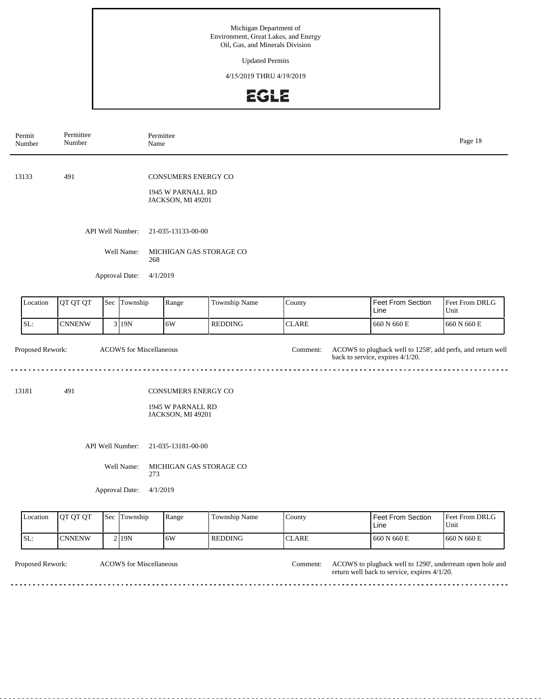Updated Permits

4/15/2019 THRU 4/19/2019

## **EGLE**

| Permit<br>Number                                   | Permittee<br>Number                                                         |  |                                                  | Permittee<br>Name                                                |                |              |                                                                                                 | Page 18                |
|----------------------------------------------------|-----------------------------------------------------------------------------|--|--------------------------------------------------|------------------------------------------------------------------|----------------|--------------|-------------------------------------------------------------------------------------------------|------------------------|
| 13133                                              | 491                                                                         |  |                                                  | CONSUMERS ENERGY CO<br>1945 W PARNALL RD<br>JACKSON, MI 49201    |                |              |                                                                                                 |                        |
|                                                    |                                                                             |  | API Well Number:                                 | 21-035-13133-00-00                                               |                |              |                                                                                                 |                        |
|                                                    |                                                                             |  | Well Name:<br>Approval Date:                     | MICHIGAN GAS STORAGE CO<br>268<br>4/1/2019                       |                |              |                                                                                                 |                        |
| Location                                           | QT QT QT                                                                    |  | Sec Township                                     | Range                                                            | Township Name  | County       | <b>Feet From Section</b><br>Line                                                                | Feet From DRLG<br>Unit |
| SL:                                                | <b>CNNENW</b>                                                               |  | 3 19N                                            | 6W                                                               | <b>REDDING</b> | <b>CLARE</b> | 660 N 660 E                                                                                     | $660$ N $660\to$       |
| Proposed Rework:<br><b>ACOWS</b> for Miscellaneous |                                                                             |  |                                                  |                                                                  |                | Comment:     | ACOWS to plugback well to 1258', add perfs, and return well<br>back to service, expires 4/1/20. |                        |
| 13181                                              | 491<br><b>CONSUMERS ENERGY CO</b><br>1945 W PARNALL RD<br>JACKSON, MI 49201 |  |                                                  |                                                                  |                |              |                                                                                                 |                        |
|                                                    |                                                                             |  | API Well Number:<br>Well Name:<br>Approval Date: | 21-035-13181-00-00<br>MICHIGAN GAS STORAGE CO<br>273<br>4/1/2019 |                |              |                                                                                                 |                        |
| Location                                           | QT QT QT                                                                    |  | Sec Township                                     | Range                                                            | Township Name  | County       | <b>Feet From Section</b><br>Line                                                                | Feet From DRLG<br>Unit |
| SL:                                                | <b>CNNENW</b>                                                               |  | 2 19N                                            | 6W                                                               | <b>REDDING</b> | <b>CLARE</b> | 660 N 660 E                                                                                     | 660 N 660 E            |

Proposed Rework: ACOWS for Miscellaneous and the comment: ACOWS to plugback well to 1290', underream open hole and return well back to service, expires 4/1/20. ACOWS for Miscellaneous Comment:

. . . .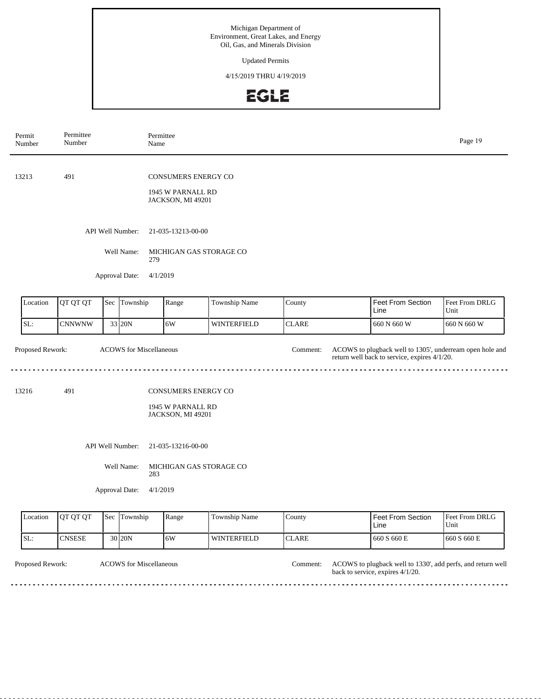Updated Permits

4/15/2019 THRU 4/19/2019

## EGLE

| Permit<br>Number |                                                                                                                      | Permittee<br>Number                                   |  | Name                           | Permittee                                                            |                    |                           |                                                                                                          | Page 19                |  |
|------------------|----------------------------------------------------------------------------------------------------------------------|-------------------------------------------------------|--|--------------------------------|----------------------------------------------------------------------|--------------------|---------------------------|----------------------------------------------------------------------------------------------------------|------------------------|--|
| 13213            |                                                                                                                      | 491                                                   |  |                                | CONSUMERS ENERGY CO<br>1945 W PARNALL RD<br>JACKSON, MI 49201        |                    |                           |                                                                                                          |                        |  |
|                  |                                                                                                                      |                                                       |  | API Well Number:<br>Well Name: | 21-035-13213-00-00<br>MICHIGAN GAS STORAGE CO                        |                    |                           |                                                                                                          |                        |  |
|                  |                                                                                                                      |                                                       |  | 279<br>Approval Date:          | 4/1/2019                                                             |                    |                           |                                                                                                          |                        |  |
|                  | Location                                                                                                             | QT QT QT                                              |  | Sec Township                   | Range                                                                | Township Name      | County                    | Feet From Section<br>Line                                                                                | Feet From DRLG<br>Unit |  |
| SL:              |                                                                                                                      | <b>CNNWNW</b>                                         |  | 33 20N                         | 6W                                                                   | <b>WINTERFIELD</b> | <b>CLARE</b>              | 660 N 660 W                                                                                              | 660 N 660 W            |  |
|                  | Proposed Rework:<br><b>ACOWS</b> for Miscellaneous                                                                   |                                                       |  |                                |                                                                      |                    | Comment:                  | ACOWS to plugback well to 1305', underream open hole and<br>return well back to service, expires 4/1/20. |                        |  |
| 13216            |                                                                                                                      | 491                                                   |  |                                | <b>CONSUMERS ENERGY CO</b><br>1945 W PARNALL RD<br>JACKSON, MI 49201 |                    |                           |                                                                                                          |                        |  |
|                  | API Well Number:<br>21-035-13216-00-00<br>Well Name:<br>MICHIGAN GAS STORAGE CO<br>283<br>Approval Date:<br>4/1/2019 |                                                       |  |                                |                                                                      |                    |                           |                                                                                                          |                        |  |
|                  | Location                                                                                                             | QT QT QT<br>Township Name<br>Sec<br>Township<br>Range |  |                                |                                                                      | County             | Feet From Section<br>Line | Feet From DRLG<br>Unit                                                                                   |                        |  |
| SL:              |                                                                                                                      | <b>CNSESE</b>                                         |  | 30 20N                         | 6W                                                                   | WINTERFIELD        | <b>CLARE</b>              | 660 S 660 E                                                                                              | 660 S 660 E            |  |

Proposed Rework: ACOWS to plugback well to 1330', add perfs, and return well back to service, expires 4/1/20. ACOWS for Miscellaneous

<u>. . . . . . . . . . . . . . .</u>

<u>. . . . . . . . . . . .</u>

 $- - -$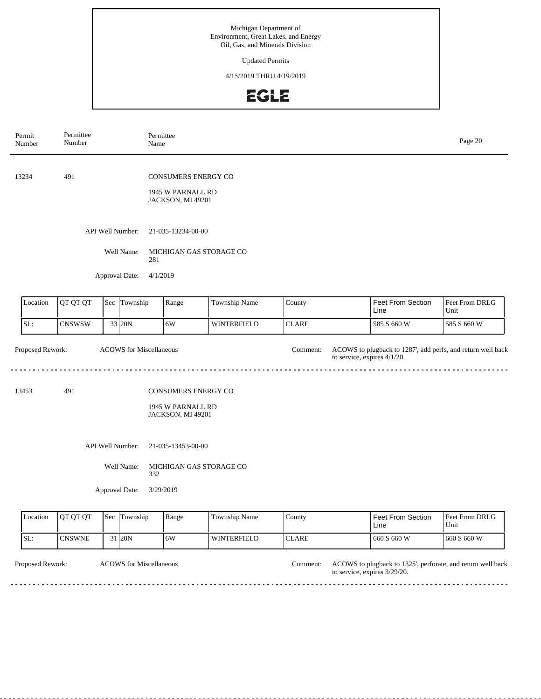Updated Permits

4/15/2019 THRU 4/19/2019

## EGLE

| Permit<br>Number                                   | Permittee<br>Number                    |  | Name                           | Permittee                                                     |                         |                                  |                                                                                            | Page 20                |  |
|----------------------------------------------------|----------------------------------------|--|--------------------------------|---------------------------------------------------------------|-------------------------|----------------------------------|--------------------------------------------------------------------------------------------|------------------------|--|
| 13234                                              | 491                                    |  |                                | CONSUMERS ENERGY CO<br>1945 W PARNALL RD<br>JACKSON, MI 49201 |                         |                                  |                                                                                            |                        |  |
|                                                    |                                        |  | API Well Number:<br>Well Name: | 21-035-13234-00-00                                            | MICHIGAN GAS STORAGE CO |                                  |                                                                                            |                        |  |
|                                                    |                                        |  | 281<br>Approval Date:          | 4/1/2019                                                      |                         |                                  |                                                                                            |                        |  |
| Location                                           | QT QT QT                               |  | Sec Township                   | Range                                                         | Township Name           | County                           | <b>Feet From Section</b><br>Line                                                           | Feet From DRLG<br>Unit |  |
| SL:                                                | <b>CNSWSW</b>                          |  | 33 20N                         | 6W                                                            | WINTERFIELD             | <b>CLARE</b>                     | 585 S 660 W                                                                                | 585 S 660 W            |  |
| Proposed Rework:<br><b>ACOWS</b> for Miscellaneous |                                        |  |                                |                                                               |                         | Comment:                         | ACOWS to plugback to 1287', add perfs, and return well back<br>to service, expires 4/1/20. |                        |  |
| 13453                                              | 491                                    |  |                                | CONSUMERS ENERGY CO<br>1945 W PARNALL RD<br>JACKSON, MI 49201 |                         |                                  |                                                                                            |                        |  |
|                                                    | API Well Number:<br>21-035-13453-00-00 |  |                                |                                                               |                         |                                  |                                                                                            |                        |  |
|                                                    |                                        |  | Well Name:<br>332              |                                                               | MICHIGAN GAS STORAGE CO |                                  |                                                                                            |                        |  |
|                                                    |                                        |  | Approval Date:                 | 3/29/2019                                                     |                         |                                  |                                                                                            |                        |  |
| Location                                           | QT QT QT<br>Township<br>Sec<br>Range   |  |                                | Township Name                                                 | County                  | <b>Feet From Section</b><br>Line | Feet From DRLG<br>Unit                                                                     |                        |  |
| SL:                                                | <b>CNSWNE</b>                          |  | 31 20N                         | 6W                                                            | WINTERFIELD             | <b>CLARE</b>                     | 660 S 660 W                                                                                | 660 S 660 W            |  |

Proposed Rework: ACOWS for Miscellaneous and return well back to 1325', perforate, and return well back to service, expires 3/29/20. ACOWS for Miscellaneous Comment:

> <u>. . . . . . . . . . . . . . . . .</u>  $- - - - \sim$   $\sim$   $\sim$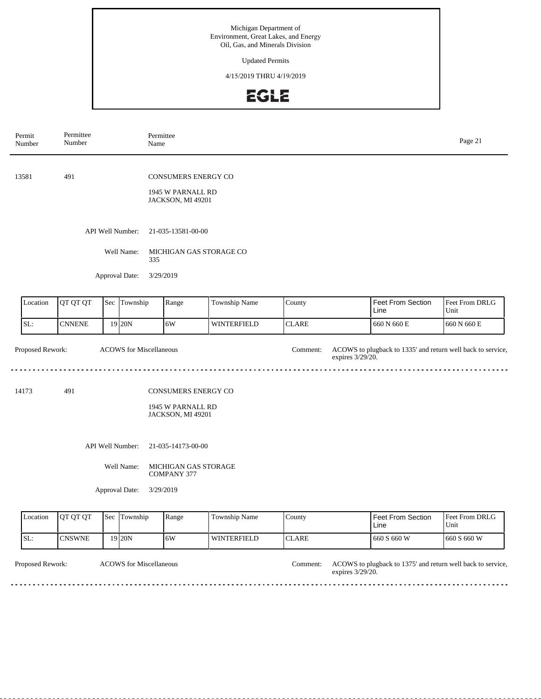Updated Permits

4/15/2019 THRU 4/19/2019

## EGLE

| Permit<br>Number | Permittee<br>Number                                |  | Permittee<br>Name              |                                                                      |                    |                              | Page 21                                                     |                        |  |  |
|------------------|----------------------------------------------------|--|--------------------------------|----------------------------------------------------------------------|--------------------|------------------------------|-------------------------------------------------------------|------------------------|--|--|
| 13581            | 491                                                |  |                                | <b>CONSUMERS ENERGY CO</b><br>1945 W PARNALL RD<br>JACKSON, MI 49201 |                    |                              |                                                             |                        |  |  |
|                  |                                                    |  | API Well Number:               | 21-035-13581-00-00                                                   |                    |                              |                                                             |                        |  |  |
|                  |                                                    |  | Well Name:<br>335              | MICHIGAN GAS STORAGE CO                                              |                    |                              |                                                             |                        |  |  |
|                  |                                                    |  | Approval Date:<br>3/29/2019    |                                                                      |                    |                              |                                                             |                        |  |  |
| Location         | QT QT QT                                           |  | Sec Township                   | Range                                                                | Township Name      | County                       | Feet From Section<br>Line                                   | Feet From DRLG<br>Unit |  |  |
| SL:              | <b>CNNENE</b>                                      |  | 19 20N                         | 6W                                                                   | WINTERFIELD        | <b>CLARE</b>                 | 660 N 660 E                                                 | 660 N 660 E            |  |  |
| Proposed Rework: |                                                    |  | <b>ACOWS</b> for Miscellaneous |                                                                      |                    | Comment:<br>expires 3/29/20. | ACOWS to plugback to 1335' and return well back to service, |                        |  |  |
| 14173            | 491                                                |  |                                | <b>CONSUMERS ENERGY CO</b><br>1945 W PARNALL RD<br>JACKSON, MI 49201 |                    |                              |                                                             |                        |  |  |
|                  |                                                    |  | API Well Number:               | 21-035-14173-00-00                                                   |                    |                              |                                                             |                        |  |  |
|                  |                                                    |  | Well Name:                     | MICHIGAN GAS STORAGE<br><b>COMPANY 377</b>                           |                    |                              |                                                             |                        |  |  |
|                  |                                                    |  | Approval Date:<br>3/29/2019    |                                                                      |                    |                              |                                                             |                        |  |  |
| Location         | QT QT QT<br>Sec Township<br>Range<br>Township Name |  |                                |                                                                      |                    | County                       | Feet From Section<br>Line                                   | Feet From DRLG<br>Unit |  |  |
| SL:              | <b>CNSWNE</b>                                      |  | $19$ 20N                       | 6W                                                                   | <b>WINTERFIELD</b> | <b>CLARE</b>                 | 660 S 660 W                                                 | 660 S 660 W            |  |  |

Proposed Rework: ACOWS for Miscellaneous and the comment: ACOWS to plugback to 1375' and return well back to service, expires 3/29/20. ACOWS for Miscellaneous Comment: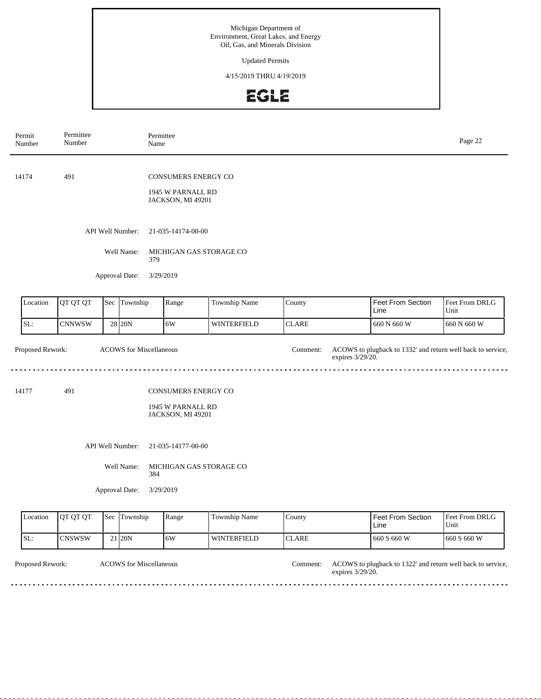Updated Permits

4/15/2019 THRU 4/19/2019

## EGLE

| Permit<br>Number                                   | Permittee<br>Number                                   |  | Name                                | Permittee                                                     |                    |                              |                                                             | Page 22                |  |  |  |
|----------------------------------------------------|-------------------------------------------------------|--|-------------------------------------|---------------------------------------------------------------|--------------------|------------------------------|-------------------------------------------------------------|------------------------|--|--|--|
| 14174                                              | 491                                                   |  |                                     | CONSUMERS ENERGY CO<br>1945 W PARNALL RD<br>JACKSON, MI 49201 |                    |                              |                                                             |                        |  |  |  |
|                                                    |                                                       |  | API Well Number:                    | 21-035-14174-00-00                                            |                    |                              |                                                             |                        |  |  |  |
|                                                    |                                                       |  | Well Name:                          | MICHIGAN GAS STORAGE CO<br>379                                |                    |                              |                                                             |                        |  |  |  |
|                                                    |                                                       |  | Approval Date:                      | 3/29/2019                                                     |                    |                              |                                                             |                        |  |  |  |
| Location                                           | QT QT QT                                              |  | Sec Township                        | Range                                                         | Township Name      | County                       | <b>Feet From Section</b><br>Line                            | Feet From DRLG<br>Unit |  |  |  |
| SL:                                                | <b>CNNWSW</b>                                         |  | 28 20N                              | 6W                                                            | WINTERFIELD        | <b>CLARE</b>                 | 660 N 660 W                                                 | 660 N 660 W            |  |  |  |
| Proposed Rework:<br><b>ACOWS</b> for Miscellaneous |                                                       |  |                                     |                                                               |                    | Comment:<br>expires 3/29/20. | ACOWS to plugback to 1332' and return well back to service, |                        |  |  |  |
| 14177                                              | 491                                                   |  |                                     | CONSUMERS ENERGY CO<br>1945 W PARNALL RD<br>JACKSON, MI 49201 |                    |                              |                                                             |                        |  |  |  |
|                                                    |                                                       |  | API Well Number:                    | 21-035-14177-00-00                                            |                    |                              |                                                             |                        |  |  |  |
|                                                    |                                                       |  | Well Name:<br>384<br>Approval Date: | MICHIGAN GAS STORAGE CO<br>3/29/2019                          |                    |                              |                                                             |                        |  |  |  |
| Location                                           | QT QT QT<br>Township<br>Sec<br>Range<br>Township Name |  |                                     |                                                               |                    | County                       | <b>Feet From Section</b><br>Line                            | Feet From DRLG<br>Unit |  |  |  |
| SL:                                                | CNSWSW                                                |  | 21 20N                              | 6W                                                            | <b>WINTERFIELD</b> | <b>CLARE</b>                 | 660 S 660 W                                                 | 660 S 660 W            |  |  |  |

Proposed Rework: ACOWS for Miscellaneous and the comment: ACOWS to plugback to 1322' and return well back to service, expires 3/29/20. ACOWS for Miscellaneous Comment:

> <u>. . . . . . . . .</u>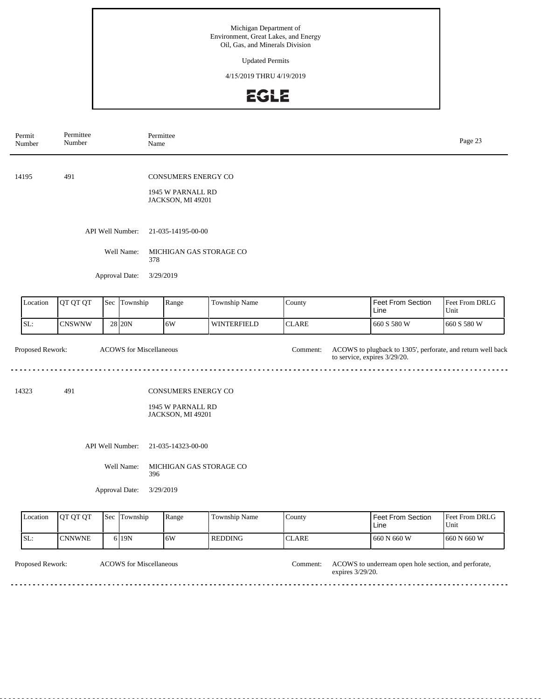Updated Permits

4/15/2019 THRU 4/19/2019

## **EGLE**

| Permit<br>Number                                   | Permittee<br>Number               |  | Permittee<br>Name                     |                                                                      |                |              |                                                                                             | Page 23                |  |
|----------------------------------------------------|-----------------------------------|--|---------------------------------------|----------------------------------------------------------------------|----------------|--------------|---------------------------------------------------------------------------------------------|------------------------|--|
| 14195                                              | 491                               |  |                                       | CONSUMERS ENERGY CO<br>1945 W PARNALL RD<br>JACKSON, MI 49201        |                |              |                                                                                             |                        |  |
|                                                    |                                   |  | API Well Number:<br>Well Name:<br>378 | 21-035-14195-00-00<br>MICHIGAN GAS STORAGE CO                        |                |              |                                                                                             |                        |  |
|                                                    |                                   |  | Approval Date:                        | 3/29/2019                                                            |                |              |                                                                                             |                        |  |
| Location                                           | QT QT QT                          |  | Sec Township                          | Range                                                                | Township Name  | County       | <b>Feet From Section</b><br>Line                                                            | Feet From DRLG<br>Unit |  |
| SL:                                                | <b>CNSWNW</b>                     |  | 28 20N                                | 6W                                                                   | WINTERFIELD    | <b>CLARE</b> | 660 S 580 W                                                                                 | 660 S 580 W            |  |
| Proposed Rework:<br><b>ACOWS</b> for Miscellaneous |                                   |  |                                       |                                                                      |                | Comment:     | ACOWS to plugback to 1305', perforate, and return well back<br>to service, expires 3/29/20. |                        |  |
| 14323                                              | 491                               |  |                                       | <b>CONSUMERS ENERGY CO</b><br>1945 W PARNALL RD<br>JACKSON, MI 49201 |                |              |                                                                                             |                        |  |
|                                                    |                                   |  | API Well Number:                      | 21-035-14323-00-00                                                   |                |              |                                                                                             |                        |  |
|                                                    |                                   |  | Well Name:<br>396<br>Approval Date:   | MICHIGAN GAS STORAGE CO<br>3/29/2019                                 |                |              |                                                                                             |                        |  |
| Location                                           | QT QT QT<br>Sec Township<br>Range |  |                                       |                                                                      | Township Name  | County       | Feet From Section<br>Line                                                                   | Feet From DRLG<br>Unit |  |
| SL:                                                | <b>CNNWNE</b>                     |  | 6 19N                                 | 6W                                                                   | <b>REDDING</b> | <b>CLARE</b> | 660 N 660 W                                                                                 | 660 N 660 W            |  |

Proposed Rework: ACOWS to underream open hole section, and perforate, expires 3/29/20. ACOWS for Miscellaneous Comment:

 $- - - - - -$ 

<u>. . . . . . . . .</u>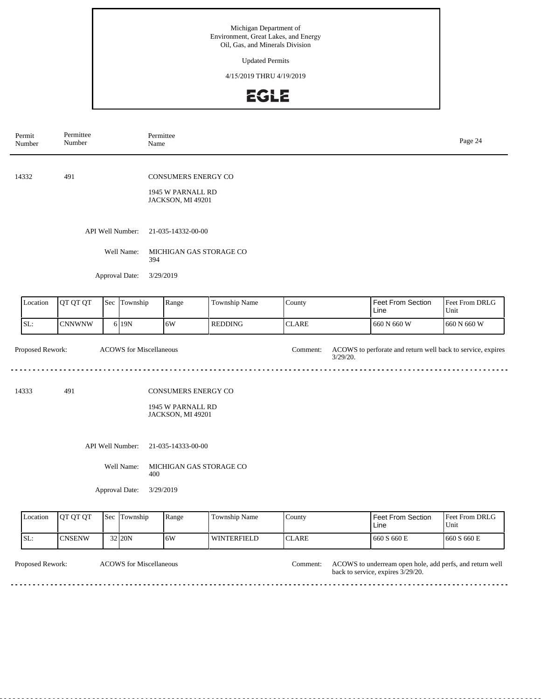Updated Permits

4/15/2019 THRU 4/19/2019

## **EGLE**

| Permit<br>Number                                   | Permittee<br>Number |     | Name              | Permittee                                                            |                    |                         |                                                             | Page 24                |  |  |
|----------------------------------------------------|---------------------|-----|-------------------|----------------------------------------------------------------------|--------------------|-------------------------|-------------------------------------------------------------|------------------------|--|--|
| 14332                                              | 491                 |     |                   | CONSUMERS ENERGY CO<br>1945 W PARNALL RD<br>JACKSON, MI 49201        |                    |                         |                                                             |                        |  |  |
|                                                    |                     |     | API Well Number:  | 21-035-14332-00-00                                                   |                    |                         |                                                             |                        |  |  |
|                                                    |                     |     | Well Name:        | MICHIGAN GAS STORAGE CO<br>394                                       |                    |                         |                                                             |                        |  |  |
|                                                    |                     |     | Approval Date:    | 3/29/2019                                                            |                    |                         |                                                             |                        |  |  |
| Location                                           | QT QT QT            |     | Sec Township      | Range                                                                | Township Name      | County                  | <b>Feet From Section</b><br>Line                            | Feet From DRLG<br>Unit |  |  |
| SL:                                                | <b>CNNWNW</b>       |     | 6 19N             | 6W                                                                   | <b>REDDING</b>     | <b>CLARE</b>            | 660 N 660 W                                                 | 660 N 660 W            |  |  |
| Proposed Rework:<br><b>ACOWS</b> for Miscellaneous |                     |     |                   |                                                                      |                    | Comment:<br>$3/29/20$ . | ACOWS to perforate and return well back to service, expires |                        |  |  |
| 14333                                              | 491                 |     |                   | <b>CONSUMERS ENERGY CO</b><br>1945 W PARNALL RD<br>JACKSON, MI 49201 |                    |                         |                                                             |                        |  |  |
|                                                    |                     |     | API Well Number:  | 21-035-14333-00-00                                                   |                    |                         |                                                             |                        |  |  |
|                                                    |                     |     | Well Name:<br>400 | MICHIGAN GAS STORAGE CO                                              |                    |                         |                                                             |                        |  |  |
|                                                    |                     |     | Approval Date:    | 3/29/2019                                                            |                    |                         |                                                             |                        |  |  |
| Location                                           | QT QT QT            | Sec | Township          | Range                                                                | Township Name      | County                  | <b>Feet From Section</b><br>Line                            | Feet From DRLG<br>Unit |  |  |
| SL:                                                | <b>CNSENW</b>       |     | 32 20N            | 6W                                                                   | <b>WINTERFIELD</b> | <b>CLARE</b>            | 660 S 660 E                                                 | 660 S 660 E            |  |  |

Proposed Rework: ACOWS to underream open hole, add perfs, and return well back to service, expires 3/29/20. ACOWS for Miscellaneous Comment:

 $\sim$   $\sim$   $\sim$ 

. . . . . . . . . . . . . . . .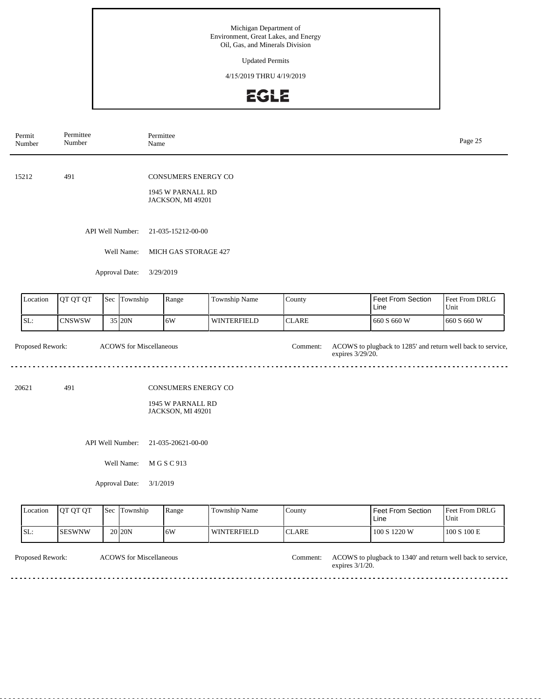Updated Permits

4/15/2019 THRU 4/19/2019

## EGLE

| Permit<br>Number          | Permittee<br>Number                    |  | Permittee<br>Name              |                                                               |                    |                              |                                                             | Page 25                |  |  |
|---------------------------|----------------------------------------|--|--------------------------------|---------------------------------------------------------------|--------------------|------------------------------|-------------------------------------------------------------|------------------------|--|--|
| 15212                     | 491                                    |  |                                | CONSUMERS ENERGY CO<br>1945 W PARNALL RD<br>JACKSON, MI 49201 |                    |                              |                                                             |                        |  |  |
|                           |                                        |  | API Well Number:<br>Well Name: | 21-035-15212-00-00<br>MICH GAS STORAGE 427                    |                    |                              |                                                             |                        |  |  |
|                           |                                        |  | Approval Date:<br>3/29/2019    |                                                               |                    |                              |                                                             |                        |  |  |
| Location                  | QT QT QT                               |  | Sec Township                   | Range                                                         | Township Name      | County                       | Feet From Section<br>Line                                   | Feet From DRLG<br>Unit |  |  |
| SL:                       | <b>CNSWSW</b>                          |  | 35 20N                         | 6W                                                            | <b>WINTERFIELD</b> | <b>CLARE</b>                 | 660 S 660 W                                                 | 660 S 660 W            |  |  |
| Proposed Rework:          |                                        |  | <b>ACOWS</b> for Miscellaneous |                                                               |                    | Comment:<br>expires 3/29/20. | ACOWS to plugback to 1285' and return well back to service, |                        |  |  |
| 20621                     | 491                                    |  |                                | CONSUMERS ENERGY CO<br>1945 W PARNALL RD<br>JACKSON, MI 49201 |                    |                              |                                                             |                        |  |  |
|                           | API Well Number:<br>21-035-20621-00-00 |  |                                |                                                               |                    |                              |                                                             |                        |  |  |
| Well Name:<br>M G S C 913 |                                        |  |                                |                                                               |                    |                              |                                                             |                        |  |  |
|                           |                                        |  | Approval Date:<br>3/1/2019     |                                                               |                    |                              |                                                             |                        |  |  |
| Location                  | QT QT QT                               |  | Sec Township                   | Range                                                         | Township Name      | County                       | <b>Feet From Section</b><br>Line                            | Feet From DRLG<br>Unit |  |  |
| SL:                       | <b>SESWNW</b>                          |  | 20 20 N                        | 6W                                                            | WINTERFIELD        | <b>CLARE</b>                 | 100 S 1220 W                                                | 100 S 100 E            |  |  |

Proposed Rework: ACOWS for Miscellaneous and the comment: ACOWS to plugback to 1340' and return well back to service, expires 3/1/20. ACOWS for Miscellaneous Comment:

 $\sim$   $\sim$   $\sim$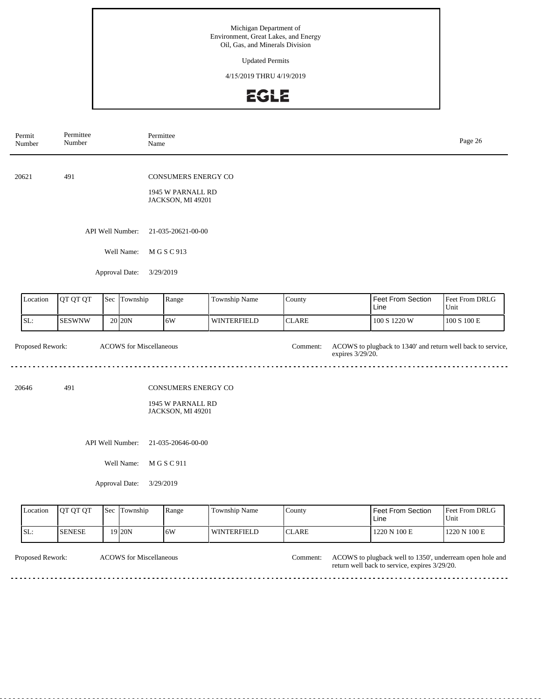Updated Permits

4/15/2019 THRU 4/19/2019

#### EGLE

| Permit<br>Number | Permittee<br>Number      |     | Permittee<br>Name              |                                                               |                    |                              |                                                             | Page 26                |
|------------------|--------------------------|-----|--------------------------------|---------------------------------------------------------------|--------------------|------------------------------|-------------------------------------------------------------|------------------------|
| 20621            | 491                      |     |                                | CONSUMERS ENERGY CO<br>1945 W PARNALL RD<br>JACKSON, MI 49201 |                    |                              |                                                             |                        |
|                  |                          |     | API Well Number:               | 21-035-20621-00-00                                            |                    |                              |                                                             |                        |
|                  |                          |     | Well Name:                     | M G S C 913                                                   |                    |                              |                                                             |                        |
|                  |                          |     | Approval Date:<br>3/29/2019    |                                                               |                    |                              |                                                             |                        |
| Location         | QT QT QT<br>Sec Township |     |                                | Range                                                         | Township Name      | County                       | Feet From Section<br>Line                                   | Feet From DRLG<br>Unit |
| SL:              | <b>SESWNW</b>            |     | 20 20N                         | 6W                                                            | <b>WINTERFIELD</b> | <b>CLARE</b>                 | 100 S 1220 W                                                | $100$ S $100$ E        |
| Proposed Rework: |                          |     | <b>ACOWS</b> for Miscellaneous |                                                               |                    | Comment:<br>expires 3/29/20. | ACOWS to plugback to 1340' and return well back to service, |                        |
| 20646            | 491                      |     |                                | CONSUMERS ENERGY CO                                           |                    |                              |                                                             |                        |
|                  |                          |     |                                | 1945 W PARNALL RD<br>JACKSON, MI 49201                        |                    |                              |                                                             |                        |
|                  |                          |     | API Well Number:               | 21-035-20646-00-00                                            |                    |                              |                                                             |                        |
|                  |                          |     | Well Name:                     | M G S C 911                                                   |                    |                              |                                                             |                        |
|                  |                          |     | Approval Date:<br>3/29/2019    |                                                               |                    |                              |                                                             |                        |
| Location         | QT QT QT                 | Sec | Township                       | Range                                                         | Township Name      | County                       | <b>Feet From Section</b><br>Line                            | Feet From DRLG<br>Unit |

CLARE

<u>. . . . . . . . . . . .</u>

| Proposed Rework: |  |  |
|------------------|--|--|
|                  |  |  |

SL: SENESE

ACOWS for Miscellaneous Comment:

19 20N 6W WINTERFIELD

Proposed Rework: ACOWS for Miscellaneous and the comment: ACOWS to plugback well to 1350', underream open hole and return well back to service, expires 3/29/20.

1220 N 100 E 1220 N 100 E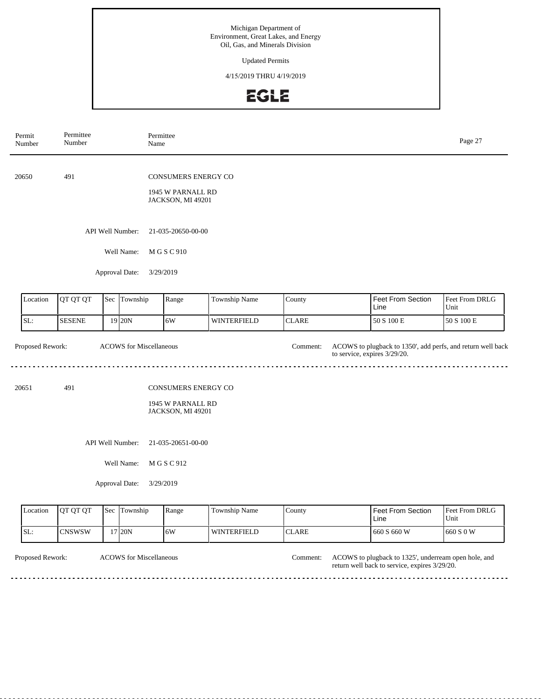Updated Permits

4/15/2019 THRU 4/19/2019

## EGLE

| Permit<br>Number          | Permittee<br>Number |     | Permittee<br>Name                                |                                                                      |                    |              |                                                                                             | Page 27                |
|---------------------------|---------------------|-----|--------------------------------------------------|----------------------------------------------------------------------|--------------------|--------------|---------------------------------------------------------------------------------------------|------------------------|
| 20650                     | 491                 |     |                                                  | <b>CONSUMERS ENERGY CO</b><br>1945 W PARNALL RD<br>JACKSON, MI 49201 |                    |              |                                                                                             |                        |
|                           |                     |     | API Well Number:                                 | 21-035-20650-00-00                                                   |                    |              |                                                                                             |                        |
|                           |                     |     | Well Name:                                       | M G S C 910                                                          |                    |              |                                                                                             |                        |
|                           |                     |     | Approval Date:                                   | 3/29/2019                                                            |                    |              |                                                                                             |                        |
| Location                  | QT QT QT            | Sec | Township                                         | Range                                                                | Township Name      | County       | Feet From Section<br>Line                                                                   | Feet From DRLG<br>Unit |
| SL:                       | <b>SESENE</b>       |     | 19 20N                                           | 6W                                                                   | <b>WINTERFIELD</b> | <b>CLARE</b> | 50 S 100 E                                                                                  | 50 S 100 E             |
| Proposed Rework:<br>20651 | 491                 |     | <b>ACOWS</b> for Miscellaneous                   | CONSUMERS ENERGY CO<br>1945 W PARNALL RD<br>JACKSON, MI 49201        |                    | Comment:     | ACOWS to plugback to 1350', add perfs, and return well back<br>to service, expires 3/29/20. |                        |
|                           |                     |     | API Well Number:<br>Well Name:<br>Approval Date: | 21-035-20651-00-00<br>M G S C 912<br>3/29/2019                       |                    |              |                                                                                             |                        |
| Location                  | QT QT QT            |     | Sec Township                                     | Range                                                                | Township Name      | County       | Feet From Section<br>Line                                                                   | Feet From DRLG<br>Unit |

**CLARE** 

<u>e e e e e e e e e e e e</u>

| ronosed Rework: |  |
|-----------------|--|

SL: CNSWSW

ACOWS for Miscellaneous Comment:

17 20N 6W WINTERFIELD

Proposed Rework: ACOWS for Miscellaneous **ACOWS** to plugback to 1325', underream open hole, and return well back to service, expires 3/29/20.

660 S 660 W 660 S 0 W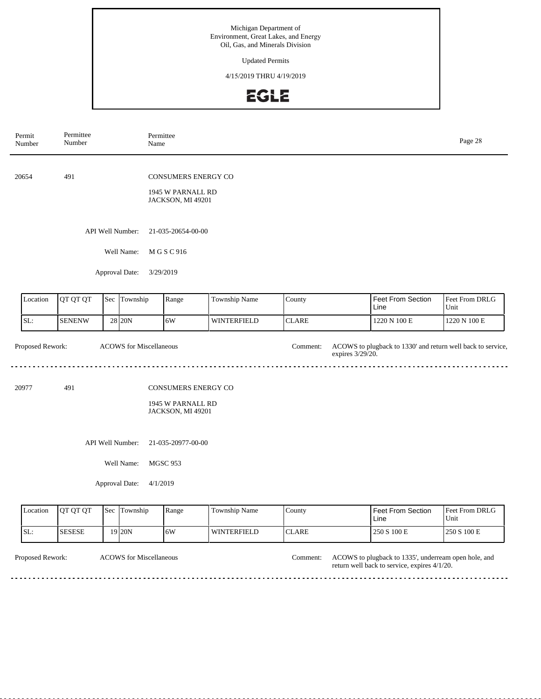Updated Permits

4/15/2019 THRU 4/19/2019

#### EGLE

| Permit<br>Number                                   | Permittee<br>Number        |  | Permittee<br>Name |                                        |                    |                              |                                                             | Page 28                |  |  |
|----------------------------------------------------|----------------------------|--|-------------------|----------------------------------------|--------------------|------------------------------|-------------------------------------------------------------|------------------------|--|--|
| 20654                                              | 491                        |  |                   | <b>CONSUMERS ENERGY CO</b>             |                    |                              |                                                             |                        |  |  |
|                                                    |                            |  |                   | 1945 W PARNALL RD<br>JACKSON, MI 49201 |                    |                              |                                                             |                        |  |  |
|                                                    |                            |  | API Well Number:  | 21-035-20654-00-00                     |                    |                              |                                                             |                        |  |  |
|                                                    |                            |  | Well Name:        | M G S C 916                            |                    |                              |                                                             |                        |  |  |
| Approval Date:<br>3/29/2019                        |                            |  |                   |                                        |                    |                              |                                                             |                        |  |  |
| Location                                           | QT QT QT                   |  | Sec Township      | Range                                  | Township Name      | County                       | Feet From Section<br>Line                                   | Feet From DRLG<br>Unit |  |  |
| SL:                                                | <b>SENENW</b>              |  | 28 20N            | 6W                                     | <b>WINTERFIELD</b> | <b>CLARE</b>                 | 1220 N 100 E                                                | 1220 N 100 E           |  |  |
| Proposed Rework:<br><b>ACOWS</b> for Miscellaneous |                            |  |                   |                                        |                    | Comment:<br>expires 3/29/20. | ACOWS to plugback to 1330' and return well back to service, |                        |  |  |
| 20977                                              | 491                        |  |                   | <b>CONSUMERS ENERGY CO</b>             |                    |                              |                                                             |                        |  |  |
|                                                    |                            |  |                   | 1945 W PARNALL RD<br>JACKSON, MI 49201 |                    |                              |                                                             |                        |  |  |
|                                                    |                            |  |                   |                                        |                    |                              |                                                             |                        |  |  |
|                                                    |                            |  | Well Name:        | <b>MGSC 953</b>                        |                    |                              |                                                             |                        |  |  |
|                                                    | Approval Date:<br>4/1/2019 |  |                   |                                        |                    |                              |                                                             |                        |  |  |
| Location                                           | QT QT QT                   |  | Sec Township      | Range                                  | Township Name      | County                       | <b>Feet From Section</b><br>Line                            | Feet From DRLG<br>Unit |  |  |
| $ _{SL}$                                           | <b>SESESE</b>              |  | $19$ 20N          | 6W                                     | WINTERFIELD        | <b>CLARE</b>                 | 250 S 100 E                                                 | 250 S 100 E            |  |  |

ACOWS for Miscellaneous Comment:

Proposed Rework: ACOWS for Miscellaneous **ACOWS** to plugback to 1335', underream open hole, and return well back to service, expires 4/1/20.

 $-$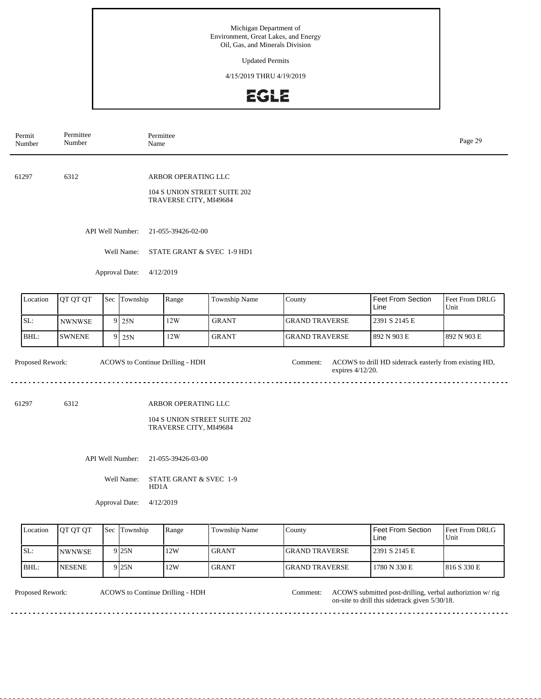Updated Permits

4/15/2019 THRU 4/19/2019

#### EGLE

| Permit<br>Number | Permittee<br>Number |  |                                | Permittee<br>Name                                                             |                              | Page 29                      |                                                        |                        |  |  |
|------------------|---------------------|--|--------------------------------|-------------------------------------------------------------------------------|------------------------------|------------------------------|--------------------------------------------------------|------------------------|--|--|
| 61297            | 6312                |  |                                | ARBOR OPERATING LLC<br>104 S UNION STREET SUITE 202<br>TRAVERSE CITY, MI49684 |                              |                              |                                                        |                        |  |  |
|                  |                     |  | API Well Number:<br>Well Name: | 21-055-39426-02-00                                                            |                              |                              |                                                        |                        |  |  |
|                  |                     |  | Approval Date:                 | 4/12/2019                                                                     | STATE GRANT & SVEC 1-9 HD1   |                              |                                                        |                        |  |  |
| Location         | QT QT QT            |  | Sec Township                   | Range                                                                         | Township Name                | County                       | <b>Feet From Section</b><br>Line                       | Feet From DRLG<br>Unit |  |  |
| SL:              | <b>NWNWSE</b>       |  | $9$ 25N                        | 12W                                                                           | <b>GRANT</b>                 | <b>GRAND TRAVERSE</b>        | 2391 S 2145 E                                          |                        |  |  |
| BHL:             | <b>SWNENE</b>       |  | $9$ 25N                        | 12W                                                                           | <b>GRANT</b>                 | <b>GRAND TRAVERSE</b>        | 892 N 903 E                                            | 892 N 903 E            |  |  |
| Proposed Rework: |                     |  |                                | ACOWS to Continue Drilling - HDH                                              |                              | Comment:<br>expires 4/12/20. | ACOWS to drill HD sidetrack easterly from existing HD, |                        |  |  |
| 61297            | 6312                |  |                                | ARBOR OPERATING LLC<br>TRAVERSE CITY, MI49684                                 | 104 S UNION STREET SUITE 202 |                              |                                                        |                        |  |  |
|                  |                     |  | API Well Number:               | 21-055-39426-03-00                                                            |                              |                              |                                                        |                        |  |  |
|                  |                     |  | Well Name:                     | STATE GRANT & SVEC 1-9<br>HD1A                                                |                              |                              |                                                        |                        |  |  |
|                  |                     |  | Approval Date:                 | 4/12/2019                                                                     |                              |                              |                                                        |                        |  |  |
| Location         | QT QT QT            |  | Sec Township                   | Range                                                                         | Township Name                | County                       | <b>Feet From Section</b><br>Line                       | Feet From DRLG<br>Unit |  |  |
| SL:              | NWNWSE              |  | $9$ 25N                        | 12W                                                                           | <b>GRANT</b>                 | <b>GRAND TRAVERSE</b>        | 2391 S 2145 E                                          |                        |  |  |
| BHL:             | <b>NESENE</b>       |  | 9 25N                          | 12W                                                                           | <b>GRANT</b>                 | <b>GRAND TRAVERSE</b>        | 1780 N 330 E                                           | 816 S 330 E            |  |  |

ACOWS to Continue Drilling - HDH

Proposed Rework: ACOWS to Continue Drilling - HDH Comment: ACOWS submitted post-drilling, verbal authoriztion w/rig on-site to drill this sidetrack given 5/30/18.